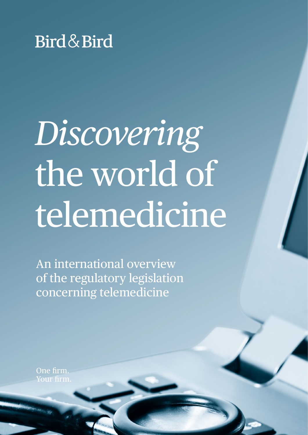

# *Discovering* the world of telemedicine

An international overview of the regulatory legislation concerning telemedicine

One firm.  $\overline{\text{ur firm}}$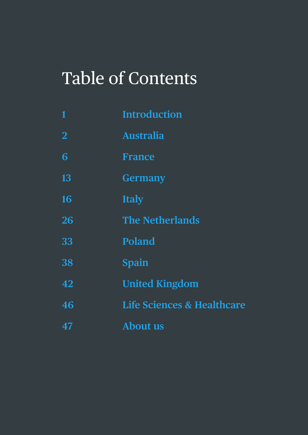### Table of Contents

| $\mathbf{1}$   | <b>Introduction</b>                   |
|----------------|---------------------------------------|
| $\overline{2}$ | <b>Australia</b>                      |
| 6              | <b>France</b>                         |
| 13             | <b>Germany</b>                        |
| 16             | <b>Italy</b>                          |
| 26             | <b>The Netherlands</b>                |
| 33             | <b>Poland</b>                         |
| 38             | Spain                                 |
| 42             | <b>United Kingdom</b>                 |
| 46             | <b>Life Sciences &amp; Healthcare</b> |
| 47             | <b>About us</b>                       |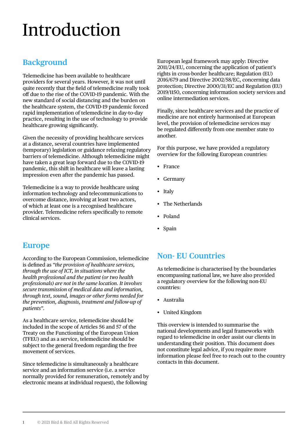# <span id="page-2-0"></span>Introduction

#### **Background**

Telemedicine has been available to healthcare providers for several years. However, it was not until quite recently that the field of telemedicine really took off due to the rise of the COVID-19 pandemic. With the new standard of social distancing and the burden on the healthcare system, the COVID-19 pandemic forced rapid implementation of telemedicine in day-to-day practice, resulting in the use of technology to provide healthcare growing significantly.

Given the necessity of providing healthcare services at a distance, several countries have implemented (temporary) legislation or guidance relaxing regulatory barriers of telemedicine. Although telemedicine might have taken a great leap forward due to the COVID-19 pandemic, this shift in healthcare will leave a lasting impression even after the pandemic has passed.

Telemedicine is a way to provide healthcare using information technology and telecommunications to overcome distance, involving at least two actors, of which at least one is a recognised healthcare provider. Telemedicine refers specifically to remote clinical services.

European legal framework may apply: Directive 2011/24/EU, concerning the application of patient's rights in cross-border healthcare; Regulation (EU) 2016/679 and Directive 2002/58/EC, concerning data protection; Directive 2000/31/EC and Regulation (EU) 2019/1150, concerning information society services and online intermediation services.

Finally, since healthcare services and the practice of medicine are not entirely harmonised at European level, the provision of telemedicine services may be regulated differently from one member state to another.

For this purpose, we have provided a regulatory overview for the following European countries:

- France
- Germany
- Italy
- The Netherlands
- Poland
- Spain

#### **Europe**

According to the European Commission, telemedicine is defined as *"the provision of healthcare services, through the use of ICT, in situations where the health professional and the patient (or two health professionals) are not in the same location. It involves secure transmission of medical data and information, through text, sound, images or other forms needed for the prevention, diagnosis, treatment and follow-up of patients"*.

As a healthcare service, telemedicine should be included in the scope of Articles 56 and 57 of the Treaty on the Functioning of the European Union (TFEU) and as a service, telemedicine should be subject to the general freedom regarding the free movement of services.

Since telemedicine is simultaneously a healthcare service and an information service (i.e. a service normally provided for remuneration, remotely and by electronic means at individual request), the following

#### **Non- EU Countries**

As telemedicine is characterised by the boundaries encompassing national law, we have also provided a regulatory overview for the following non-EU countries:

- Australia
- United Kingdom

This overview is intended to summarise the national developments and legal frameworks with regard to telemedicine in order assist our clients in understanding their position. This document does not constitute legal advice, if you require more information please feel free to reach out to the country contacts in this document.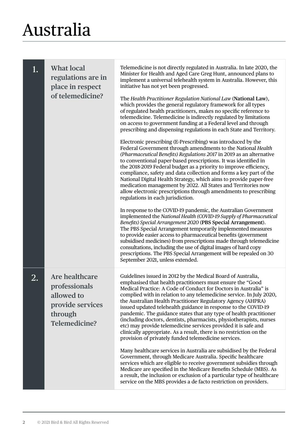#### <span id="page-3-0"></span>Australia

| 1. | <b>What local</b><br>regulations are in<br>place in respect<br>of telemedicine?               | Telemedicine is not directly regulated in Australia. In late 2020, the<br>Minister for Health and Aged Care Greg Hunt, announced plans to<br>implement a universal telehealth system in Australia. However, this<br>initiative has not yet been progressed.<br>The Health Practitioner Regulation National Law (National Law),<br>which provides the general regulatory framework for all types<br>of regulated health practitioners, makes no specific reference to<br>telemedicine. Telemedicine is indirectly regulated by limitations<br>on access to government funding at a Federal level and through<br>prescribing and dispensing regulations in each State and Territory.<br>Electronic prescribing (E-Prescribing) was introduced by the<br>Federal Government through amendments to the National Health<br>(Pharmaceutical Benefits) Regulations 2017 in 2019 as an alternative<br>to conventional paper-based prescriptions. It was identified in<br>the 2018-2019 Federal budget as a priority to improve efficiency,<br>compliance, safety and data collection and forms a key part of the<br>National Digital Health Strategy, which aims to provide paper-free<br>medication management by 2022. All States and Territories now<br>allow electronic prescriptions through amendments to prescribing<br>regulations in each jurisdiction.<br>In response to the COVID-19 pandemic, the Australian Government<br>implemented the National Health (COVID-19 Supply of Pharmaceutical<br>Benefits) Special Arrangement 2020 (PBS Special Arrangement).<br>The PBS Special Arrangement temporarily implemented measures<br>to provide easier access to pharmaceutical benefits (government<br>subsidised medicines) from prescriptions made through telemedicine<br>consultations, including the use of digital images of hard copy<br>prescriptions. The PBS Special Arrangement will be repealed on 30<br>September 2021, unless extended. |
|----|-----------------------------------------------------------------------------------------------|---------------------------------------------------------------------------------------------------------------------------------------------------------------------------------------------------------------------------------------------------------------------------------------------------------------------------------------------------------------------------------------------------------------------------------------------------------------------------------------------------------------------------------------------------------------------------------------------------------------------------------------------------------------------------------------------------------------------------------------------------------------------------------------------------------------------------------------------------------------------------------------------------------------------------------------------------------------------------------------------------------------------------------------------------------------------------------------------------------------------------------------------------------------------------------------------------------------------------------------------------------------------------------------------------------------------------------------------------------------------------------------------------------------------------------------------------------------------------------------------------------------------------------------------------------------------------------------------------------------------------------------------------------------------------------------------------------------------------------------------------------------------------------------------------------------------------------------------------------------------------------------------------------------------------------------------------------|
| 2. | Are healthcare<br>professionals<br>allowed to<br>provide services<br>through<br>Telemedicine? | Guidelines issued in 2012 by the Medical Board of Australia,<br>emphasised that health practitioners must ensure the "Good<br>Medical Practice: A Code of Conduct for Doctors in Australia" is<br>complied with in relation to any telemedicine service. In July 2020,<br>the Australian Health Practitioner Regulatory Agency (AHPRA)<br>issued updated telehealth guidance in response to the COVID-19<br>pandemic. The guidance states that any type of health practitioner<br>(including doctors, dentists, pharmacists, physiotherapists, nurses<br>etc) may provide telemedicine services provided it is safe and<br>clinically appropriate. As a result, there is no restriction on the<br>provision of privately funded telemedicine services.<br>Many healthcare services in Australia are subsidised by the Federal<br>Government, through Medicare Australia. Specific healthcare<br>services which are eligible to receive government subsidies through<br>Medicare are specified in the Medicare Benefits Schedule (MBS). As<br>a result, the inclusion or exclusion of a particular type of healthcare<br>service on the MBS provides a de facto restriction on providers.                                                                                                                                                                                                                                                                                                                                                                                                                                                                                                                                                                                                                                                                                                                                                                |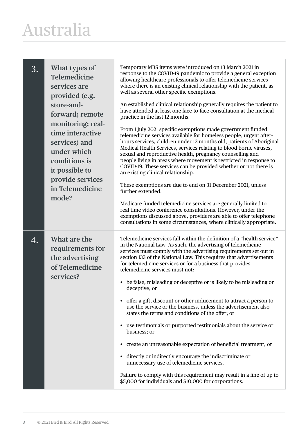#### Australia

| 3. | What types of<br><b>Telemedicine</b><br>services are<br>provided (e.g.<br>store-and-<br>forward; remote<br>monitoring; real-<br>time interactive<br>services) and<br>under which<br>conditions is<br>it possible to<br>provide services<br>in Telemedicine<br>mode? | Temporary MBS items were introduced on 13 March 2021 in<br>response to the COVID-19 pandemic to provide a general exception<br>allowing healthcare professionals to offer telemedicine services<br>where there is an existing clinical relationship with the patient, as<br>well as several other specific exemptions.<br>An established clinical relationship generally requires the patient to<br>have attended at least one face-to-face consultation at the medical<br>practice in the last 12 months.<br>From 1 July 2021 specific exemptions made government funded<br>telemedicine services available for homeless people, urgent after-<br>hours services, children under 12 months old, patients of Aboriginal<br>Medical Health Services, services relating to blood borne viruses,<br>sexual and reproductive health, pregnancy counselling and<br>people living in areas where movement is restricted in response to<br>COVID-19. These services can be provided whether or not there is<br>an existing clinical relationship.<br>These exemptions are due to end on 31 December 2021, unless<br>further extended.<br>Medicare funded telemedicine services are generally limited to<br>real time video conference consultations. However, under the<br>exemptions discussed above, providers are able to offer telephone<br>consultations in some circumstances, where clinically appropriate. |
|----|---------------------------------------------------------------------------------------------------------------------------------------------------------------------------------------------------------------------------------------------------------------------|-------------------------------------------------------------------------------------------------------------------------------------------------------------------------------------------------------------------------------------------------------------------------------------------------------------------------------------------------------------------------------------------------------------------------------------------------------------------------------------------------------------------------------------------------------------------------------------------------------------------------------------------------------------------------------------------------------------------------------------------------------------------------------------------------------------------------------------------------------------------------------------------------------------------------------------------------------------------------------------------------------------------------------------------------------------------------------------------------------------------------------------------------------------------------------------------------------------------------------------------------------------------------------------------------------------------------------------------------------------------------------------------------------------|
| 4. | What are the<br>requirements for<br>the advertising<br>of Telemedicine<br>services?                                                                                                                                                                                 | Telemedicine services fall within the definition of a "health service"<br>in the National Law. As such, the advertising of telemedicine<br>services must comply with the advertising requirements set out in<br>section 133 of the National Law. This requires that advertisements<br>for telemedicine services or for a business that provides<br>telemedicine services must not:<br>be false, misleading or deceptive or is likely to be misleading or<br>$\bullet$<br>deceptive; or<br>• offer a gift, discount or other inducement to attract a person to<br>use the service or the business, unless the advertisement also<br>states the terms and conditions of the offer; or<br>• use testimonials or purported testimonials about the service or<br>business; or<br>create an unreasonable expectation of beneficial treatment; or<br>$\bullet$<br>directly or indirectly encourage the indiscriminate or<br>$\bullet$<br>unnecessary use of telemedicine services.<br>Failure to comply with this requirement may result in a fine of up to<br>\$5,000 for individuals and \$10,000 for corporations.                                                                                                                                                                                                                                                                                              |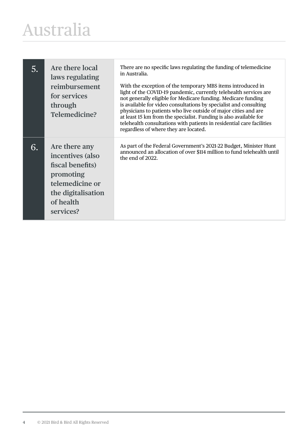#### Australia

| 5. | Are there local<br>laws regulating<br>reimbursement<br>for services<br>through<br>Telemedicine?                                       | There are no specific laws regulating the funding of telemedicine<br>in Australia.<br>With the exception of the temporary MBS items introduced in<br>light of the COVID-19 pandemic, currently telehealth services are<br>not generally eligible for Medicare funding. Medicare funding<br>is available for video consultations by specialist and consulting<br>physicians to patients who live outside of major cities and are<br>at least 15 km from the specialist. Funding is also available for<br>telehealth consultations with patients in residential care facilities<br>regardless of where they are located. |
|----|---------------------------------------------------------------------------------------------------------------------------------------|------------------------------------------------------------------------------------------------------------------------------------------------------------------------------------------------------------------------------------------------------------------------------------------------------------------------------------------------------------------------------------------------------------------------------------------------------------------------------------------------------------------------------------------------------------------------------------------------------------------------|
| 6. | Are there any<br>incentives (also<br>fiscal benefits)<br>promoting<br>telemedicine or<br>the digitalisation<br>of health<br>services? | As part of the Federal Government's 2021-22 Budget, Minister Hunt<br>announced an allocation of over \$114 million to fund telehealth until<br>the end of 2022.                                                                                                                                                                                                                                                                                                                                                                                                                                                        |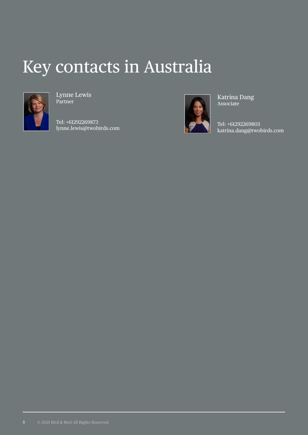#### Key contacts in Australia



Lynne Lewis Partner

Tel: +61292269873 lynne.lewis@twobirds.com



Katrina Dang Associate

Tel: +61292269803 katrina.dang@twobirds.com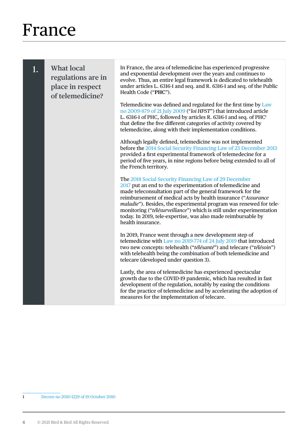<span id="page-7-0"></span>

| 1. | <b>What local</b><br>regulations are in<br>place in respect<br>of telemedicine? | In France, the area of telemedicine has experienced progressive<br>and exponential development over the years and continues to<br>evolve. Thus, an entire legal framework is dedicated to telehealth<br>under articles L. 6316-1 and seq. and R. 6316-1 and seq. of the Public<br>Health Code ("PHC").                                                                                                                                                                                  |
|----|---------------------------------------------------------------------------------|-----------------------------------------------------------------------------------------------------------------------------------------------------------------------------------------------------------------------------------------------------------------------------------------------------------------------------------------------------------------------------------------------------------------------------------------------------------------------------------------|
|    |                                                                                 | Telemedicine was defined and regulated for the first time by Law<br>no 2009-879 of 21 July 2009 ("loi HPST") that introduced article<br>L. 6316-1 of PHC, followed by articles R. 6316-1 and seq. of PHC <sup>1</sup><br>that define the five different categories of activity covered by<br>telemedicine, along with their implementation conditions.                                                                                                                                  |
|    |                                                                                 | Although legally defined, telemedicine was not implemented<br>before the 2014 Social Security Financing Law of 23 December 2013<br>provided a first experimental framework of telemedecine for a<br>period of five years, in nine regions before being extended to all of<br>the French territory.                                                                                                                                                                                      |
|    |                                                                                 | The 2018 Social Security Financing Law of 29 December<br>2017 put an end to the experimentation of telemedicine and<br>made teleconsultation part of the general framework for the<br>reimbursement of medical acts by health insurance ("Assurance<br>maladie"). Besides, the experimental program was renewed for tele-<br>monitoring ("télésurveillance") which is still under experimentation<br>today. In 2019, tele-expertise, was also made reimbursable by<br>health insurance. |
|    |                                                                                 | In 2019, France went through a new development step of<br>telemedicine with Law no 2019-774 of 24 July 2019 that introduced<br>two new concepts: telehealth ("télésanté") and telecare ("télésoin")<br>with telehealth being the combination of both telemedicine and<br>telecare (developed under question 3).                                                                                                                                                                         |
|    |                                                                                 | Lastly, the area of telemedicine has experienced spectacular<br>growth due to the COVID-19 pandemic, which has resulted in fast<br>development of the regulation, notably by easing the conditions<br>for the practice of telemedicine and by accelerating the adoption of<br>measures for the implementation of telecare.                                                                                                                                                              |

1 [Decree no 2010-1229 of 19 October 2010](https://www.legifrance.gouv.fr/jorf/id/JORFTEXT000022932449/)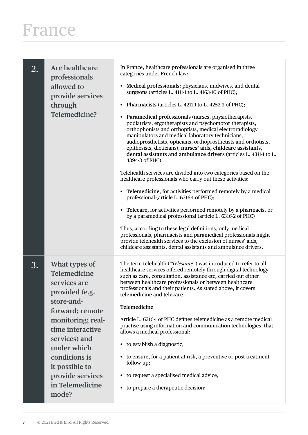| 2. | Are healthcare<br>professionals<br>allowed to<br>provide services<br>through<br>Telemedicine?                                                                                                                                                                       | In France, healthcare professionals are organised in three<br>categories under French law:<br>Medical professionals: physicians, midwives, and dental<br>surgeons (articles L. 4111-1 to L. 4163-10 of PHC);<br>Pharmacists (articles L. 4211-1 to L. 4252-3 of PHC);<br>$\bullet$<br>Paramedical professionals (nurses, physiotherapists,<br>$\bullet$<br>podiatrists, ergotherapists and psychomotor therapists,<br>orthophonists and orthoptists, medical electroradiology<br>manipulators and medical laboratory technicians,<br>audioprosthetists, opticians, orthoprosthetists and orthotists,<br>epithesists, dieticians), nurses' aids, childcare assistants,<br>dental assistants and ambulance drivers (articles L. 4311-1 to L.<br>4394-3 of PHC).<br>Telehealth services are divided into two categories based on the<br>healthcare professionals who carry out these activities:<br>• Telemedicine, for activities performed remotely by a medical<br>professional (article L. 6316-1 of PHC);<br>Telecare, for activities performed remotely by a pharmacist or<br>$\bullet$<br>by a paramedical professional (article L. 6316-2 of PHC)<br>Thus, according to these legal definitions, only medical<br>professionals, pharmacists and paramedical professionals might<br>provide telehealth services to the exclusion of nurses' aids,<br>childcare assistants, dental assistants and ambulance drivers. |
|----|---------------------------------------------------------------------------------------------------------------------------------------------------------------------------------------------------------------------------------------------------------------------|-------------------------------------------------------------------------------------------------------------------------------------------------------------------------------------------------------------------------------------------------------------------------------------------------------------------------------------------------------------------------------------------------------------------------------------------------------------------------------------------------------------------------------------------------------------------------------------------------------------------------------------------------------------------------------------------------------------------------------------------------------------------------------------------------------------------------------------------------------------------------------------------------------------------------------------------------------------------------------------------------------------------------------------------------------------------------------------------------------------------------------------------------------------------------------------------------------------------------------------------------------------------------------------------------------------------------------------------------------------------------------------------------------------------------|
| 3. | What types of<br><b>Telemedicine</b><br>services are<br>provided (e.g.<br>store-and-<br>forward; remote<br>monitoring; real-<br>time interactive<br>services) and<br>under which<br>conditions is<br>it possible to<br>provide services<br>in Telemedicine<br>mode? | The term telehealth ("Télésanté") was introduced to refer to all<br>healthcare services offered remotely through digital technology<br>such as care, consultation, assistance etc, carried out either<br>between healthcare professionals or between healthcare<br>professionals and their patients. As stated above, it covers<br>telemedicine and telecare.<br>Telemedicine<br>Article L. 6316-1 of PHC defines telemedicine as a remote medical<br>practise using information and communication technologies, that<br>allows a medical professional:<br>• to establish a diagnostic;<br>to ensure, for a patient at risk, a preventive or post-treatment<br>follow-up;<br>to request a specialised medical advice;<br>٠<br>to prepare a therapeutic decision;<br>$\bullet$                                                                                                                                                                                                                                                                                                                                                                                                                                                                                                                                                                                                                                           |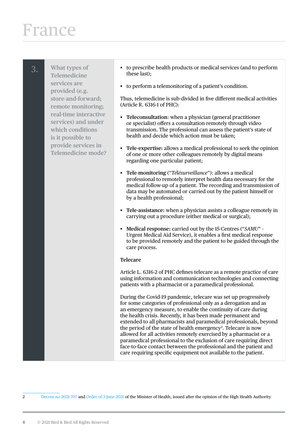3. **What types of Telemedicine services are provided (e.g. store-and-forward; remote monitoring; real-time interactive services) and under which conditions is it possible to provide services in Telemedicine mode?**

- to prescribe health products or medical services (and to perform these last);
- to perform a telemonitoring of a patient's condition.

Thus, telemedicine is sub-divided in five different medical activities (Article R. 6316-1 of PHC):

- **Teleconsultation**: when a physician (general practitioner or specialist) offers a consultation remotely through video transmission. The professional can assess the patient's state of health and decide which action must be taken;
- **Tele-expertise:** allows a medical professional to seek the opinion of one or more other colleagues remotely by digital means regarding one particular patient;
- **Tele-monitoring** ("*Télésurveillance*"): allows a medical professional to remotely interpret health data necessary for the medical follow-up of a patient. The recording and transmission of data may be automated or carried out by the patient himself or by a health professional;
- **Tele-assistance:** when a physician assists a colleague remotely in carrying out a procedure (either medical or surgical);
- **Medical response:** carried out by the 15-Centres ("*SAMU*" Urgent Medical Aid Service), it enables a first medical response to be provided remotely and the patient to be guided through the care process.

#### **Telecare**

Article L. 6316-2 of PHC defines telecare as a remote practice of care using information and communication technologies and connecting patients with a pharmacist or a paramedical professional.

During the Covid-19 pandemic, telecare was set up progressively for some categories of professional only as a derogation and as an emergency measure, to enable the continuity of care during the health crisis. Recently, it has been made permanent and extended to all pharmacists and paramedical professionals, beyond the period of the state of health emergency<sup>2</sup>. Telecare is now allowed for all activities remotely exercised by a pharmacist or a paramedical professional to the exclusion of care requiring direct face-to-face contact between the professional and the patient and care requiring specific equipment not available to the patient.

2 [Decree no 2021-707](https://www.legifrance.gouv.fr/jorf/id/JORFTEXT000043596730) and [Order of 3 June 2021](https://www.legifrance.gouv.fr/jorf/id/JORFTEXT000043596938) of the Minister of Health, issued after the opinion of the High Health Authority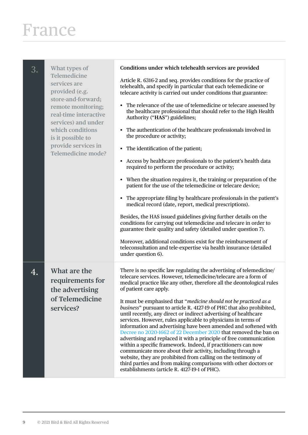| 3. | What types of<br>Telemedicine<br>services are<br>provided (e.g.<br>store-and-forward;<br>remote monitoring;<br>real-time interactive<br>services) and under<br>which conditions<br>is it possible to<br>provide services in<br><b>Telemedicine mode?</b> | Conditions under which telehealth services are provided<br>Article R. 6316-2 and seq. provides conditions for the practice of<br>telehealth, and specify in particular that each telemedicine or<br>telecare activity is carried out under conditions that guarantee:<br>The relevance of the use of telemedicine or telecare assessed by<br>$\bullet$<br>the healthcare professional that should refer to the High Health<br>Authority ("HAS") guidelines;<br>The authentication of the healthcare professionals involved in<br>٠<br>the procedure or activity;<br>• The identification of the patient;<br>Access by healthcare professionals to the patient's health data<br>required to perform the procedure or activity;<br>When the situation requires it, the training or preparation of the<br>٠<br>patient for the use of the telemedicine or telecare device;<br>The appropriate filing by healthcare professionals in the patient's<br>medical record (date, report, medical prescriptions).<br>Besides, the HAS issued guidelines giving further details on the<br>conditions for carrying out telemedicine and telecare in order to<br>guarantee their quality and safety (detailed under question 7).<br>Moreover, additional conditions exist for the reimbursement of<br>teleconsultation and tele-expertise via health insurance (detailed<br>under question 6). |
|----|----------------------------------------------------------------------------------------------------------------------------------------------------------------------------------------------------------------------------------------------------------|-----------------------------------------------------------------------------------------------------------------------------------------------------------------------------------------------------------------------------------------------------------------------------------------------------------------------------------------------------------------------------------------------------------------------------------------------------------------------------------------------------------------------------------------------------------------------------------------------------------------------------------------------------------------------------------------------------------------------------------------------------------------------------------------------------------------------------------------------------------------------------------------------------------------------------------------------------------------------------------------------------------------------------------------------------------------------------------------------------------------------------------------------------------------------------------------------------------------------------------------------------------------------------------------------------------------------------------------------------------------------------------|
| 4. | What are the<br>requirements for<br>the advertising<br>of Telemedicine<br>services?                                                                                                                                                                      | There is no specific law regulating the advertising of telemedicine/<br>telecare services. However, telemedicine/telecare are a form of<br>medical practice like any other, therefore all the deontological rules<br>of patient care apply.<br>It must be emphasised that "medicine should not be practiced as a<br>business" pursuant to article R. 4127-19 of PHC that also prohibited,<br>until recently, any direct or indirect advertising of healthcare<br>services. However, rules applicable to physicians in terms of<br>information and advertising have been amended and softened with<br>Decree no 2020-1662 of 22 December 2020 that removed the ban on<br>advertising and replaced it with a principle of free communication<br>within a specific framework. Indeed, if practitioners can now<br>communicate more about their activity, including through a<br>website, they are prohibited from calling on the testimony of<br>third parties and from making comparisons with other doctors or<br>establishments (article R. 4127-19-1 of PHC).                                                                                                                                                                                                                                                                                                                    |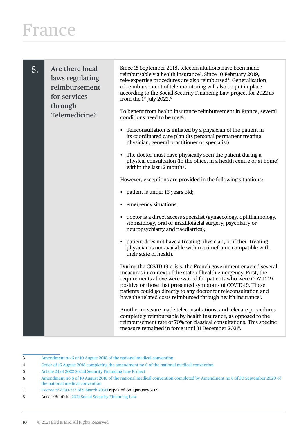| 5. | Are there local<br>laws regulating<br>reimbursement<br>for services<br>through | Since 15 September 2018, teleconsultations have been made<br>reimbursable via health insurance <sup>3</sup> . Since 10 February 2019,<br>tele-expertise procedures are also reimbursed <sup>4</sup> . Generalisation<br>of reimbursement of tele-monitoring will also be put in place<br>according to the Social Security Financing Law project for 2022 as<br>from the 1 <sup>st</sup> July 2022. <sup>5</sup>          |
|----|--------------------------------------------------------------------------------|--------------------------------------------------------------------------------------------------------------------------------------------------------------------------------------------------------------------------------------------------------------------------------------------------------------------------------------------------------------------------------------------------------------------------|
|    | <b>Telemedicine?</b>                                                           | To benefit from health insurance reimbursement in France, several<br>conditions need to be met <sup>6</sup> :                                                                                                                                                                                                                                                                                                            |
|    |                                                                                | Teleconsultation is initiated by a physician of the patient in<br>$\bullet$<br>its coordinated care plan (its personal permanent treating<br>physician, general practitioner or specialist)                                                                                                                                                                                                                              |
|    |                                                                                | The doctor must have physically seen the patient during a<br>physical consultation (in the office, in a health centre or at home)<br>within the last 12 months.                                                                                                                                                                                                                                                          |
|    |                                                                                | However, exceptions are provided in the following situations:                                                                                                                                                                                                                                                                                                                                                            |
|    |                                                                                | • patient is under 16 years old;                                                                                                                                                                                                                                                                                                                                                                                         |
|    |                                                                                | emergency situations;                                                                                                                                                                                                                                                                                                                                                                                                    |
|    |                                                                                | • doctor is a direct access specialist (gynaecology, ophthalmology,<br>stomatology, oral or maxillofacial surgery, psychiatry or<br>neuropsychiatry and paediatrics);                                                                                                                                                                                                                                                    |
|    |                                                                                | patient does not have a treating physician, or if their treating<br>$\bullet$<br>physician is not available within a timeframe compatible with<br>their state of health.                                                                                                                                                                                                                                                 |
|    |                                                                                | During the COVID-19 crisis, the French government enacted several<br>measures in context of the state of health emergency. First, the<br>requirements above were waived for patients who were COVID-19<br>positive or those that presented symptoms of COVID-19. These<br>patients could go directly to any doctor for teleconsultation and<br>have the related costs reimbursed through health insurance <sup>7</sup> . |
|    |                                                                                | Another measure made teleconsultations, and telecare procedures<br>completely reimbursable by health insurance, as opposed to the<br>reimbursement rate of 70% for classical consultations. This specific<br>measure remained in force until 31 December 2021 <sup>8</sup> .                                                                                                                                             |

- 3 [Amendment no 6 of 10 August 2018 of the national medical convention](https://www.ameli.fr/sites/default/files/Documents/451403/document/avenant_6_-_texte.pdf)
- 4 [Order of 16 August 2018 completing the amendment no 6 of the national medical convention](https://www.ameli.fr/sites/default/files/Documents/483231/document/circulaire_21-2018_annexes.pdf)

- 7 [Decree n°2020-227 of 9 March 2020](https://www.legifrance.gouv.fr/loda/id/JORFTEXT000041704122/2021-08-18/) repealed on 1 January 2021.
- 8 Article 61 of the [2021 Social Security Financing Law](https://www.legifrance.gouv.fr/jorf/id/JORFTEXT000042665307)

<sup>5</sup> [Article 24 of 2022 Social Security Financing Law Project](https://www.assemblee-nationale.fr/dyn/15/textes/l15t0716_texte-adopte-provisoire.pdf)

<sup>6</sup> [Amendment no 6 of 10 August 2018 of the national medical convention completed by Amendment no 8 of 30 September 2020 of](https://www.ameli.fr/sites/default/files/Documents/451403/document/avenant_6_-_texte.pdf)  [the national medical convention](https://www.ameli.fr/sites/default/files/Documents/451403/document/avenant_6_-_texte.pdf)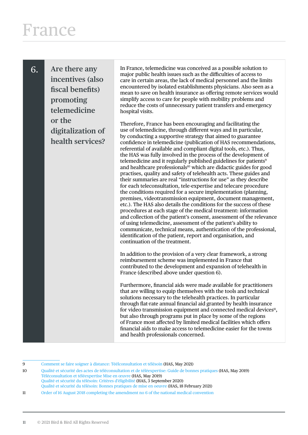6. **Are there any incentives (also fiscal benefits) promoting telemedicine or the digitalization of health services?** In France, telemedicine was conceived as a possible solution to major public health issues such as the difficulties of access to care in certain areas, the lack of medical personnel and the limits encountered by isolated establishments physicians. Also seen as a mean to save on health insurance as offering remote services would simplify access to care for people with mobility problems and reduce the costs of unnecessary patient transfers and emergency hospital visits.

Therefore, France has been encouraging and facilitating the use of telemedicine, through different ways and in particular, by conducting a supportive strategy that aimed to guarantee confidence in telemedicine (publication of HAS recommendations, referential of available and compliant digital tools, etc.). Thus, the HAS was fully involved in the process of the development of telemedicine and it regularly published guidelines for patients<sup>9</sup> and healthcare professionals<sup>10</sup> which are didactic guides for good practises, quality and safety of telehealth acts. These guides and their summaries are real "instructions for use" as they describe for each teleconsultation, tele-expertise and telecare procedure the conditions required for a secure implementation (planning, premises, videotransmission equipment, document management, etc.). The HAS also details the conditions for the success of these procedures at each stage of the medical treatment: information and collection of the patient's consent, assessment of the relevance of using telemedicine, assessment of the patient's ability to communicate, technical means, authentication of the professional, identification of the patient, report and organisation, and continuation of the treatment.

In addition to the provision of a very clear framework, a strong reimbursement scheme was implemented in France that contributed to the development and expansion of telehealth in France (described above under question 6).

Furthermore, financial aids were made available for practitioners that are willing to equip themselves with the tools and technical solutions necessary to the telehealth practices. In particular through flat-rate annual financial aid granted by health insurance for video transmission equipment and connected medical devices<sup>11</sup>, but also through programs put in place by some of the regions of France most affected by limited medical facilities which offers financial aids to make access to telemedicine easier for the towns and health professionals concerned.

9 [Comment se faire soigner à distance: Téélconsultation et télésoin](https://www.has-sante.fr/upload/docs/application/pdf/2021-06/has_fiche_teleconsultation-telesoin.pdf) (HAS, May 2021)

10 [Qualité et sécurité des actes de téléconsultation et de téléexpertise: Guide de bonnes pratiques](https://www.has-sante.fr/upload/docs/application/pdf/2019-07/guide_teleconsultation_et_teleexpertise.pdf) (HAS, May 2019) [Téléconsultation et téléexpertise Mise en œuvre](https://www.has-sante.fr/upload/docs/application/pdf/2019-07/fiche_memo_teleconsultation_et_teleexpertise_mise_en_oeuvre.pdf) (HAS, May 2019) [Qualité et sécurité du télésoin: Critères d'éligibilité](https://www.has-sante.fr/upload/docs/application/pdf/2020-09/app_362_fiche_telesoin_criteres_eligibilite_cd_2020_09_03_v0.pdf) (HAS, 3 September 2020) [Qualité et sécurité du télésoin: Bonnes pratiques de mise en oeuvre](https://www.has-sante.fr/upload/docs/application/pdf/2021-03/qualite_et_securite_du_telesoin_-_criteres_deligibilite_et_bonnes_pratiques_pour_la_mise_en_oeuvre_-_rapport_delaboration.pdf) (HAS, 18 February 2021)

11 [Order of 16 August 2018 completing the amendment no 6 of the national medical convention](https://www.ameli.fr/sites/default/files/Documents/483231/document/circulaire_21-2018_annexes.pdf)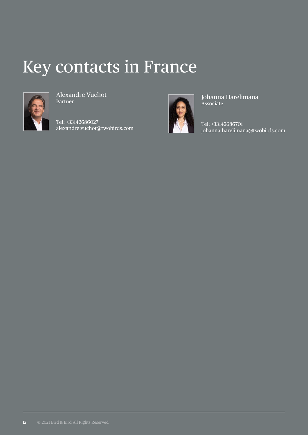#### Key contacts in France



Alexandre Vuchot Partner

Tel: +33142686027 alexandre.vuchot@twobirds.com



Johanna Harelimana Associate

Tel: +33142686701 johanna.harelimana@twobirds.com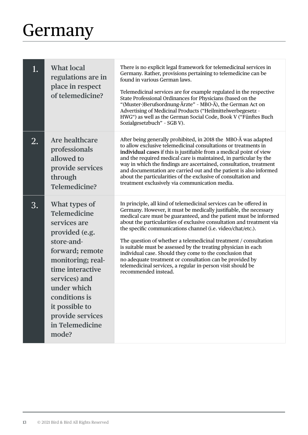# <span id="page-14-0"></span>**Germany**

| 1. | <b>What local</b><br>regulations are in<br>place in respect<br>of telemedicine?                                                                                                                                                                                     | There is no explicit legal framework for telemedicinal services in<br>Germany. Rather, provisions pertaining to telemedicine can be<br>found in various German laws.<br>Telemedicinal services are for example regulated in the respective<br>State Professional Ordinances for Physicians (based on the<br>"(Muster-)Berufsordnung-Ärzte" - MBO-Ä), the German Act on<br>Advertising of Medicinal Products ("Heilmittelwerbegesetz -<br>HWG") as well as the German Social Code, Book V ("Fünftes Buch<br>Sozialgesetzbuch" - SGB V).                                                                                                                                                                    |
|----|---------------------------------------------------------------------------------------------------------------------------------------------------------------------------------------------------------------------------------------------------------------------|-----------------------------------------------------------------------------------------------------------------------------------------------------------------------------------------------------------------------------------------------------------------------------------------------------------------------------------------------------------------------------------------------------------------------------------------------------------------------------------------------------------------------------------------------------------------------------------------------------------------------------------------------------------------------------------------------------------|
| 2. | Are healthcare<br>professionals<br>allowed to<br>provide services<br>through<br><b>Telemedicine?</b>                                                                                                                                                                | After being generally prohibited, in 2018 the MBO-Ä was adapted<br>to allow exclusive telemedicinal consultations or treatments in<br>individual cases if this is justifiable from a medical point of view<br>and the required medical care is maintained, in particular by the<br>way in which the findings are ascertained, consultation, treatment<br>and documentation are carried out and the patient is also informed<br>about the particularities of the exclusive of consultation and<br>treatment exclusively via communication media.                                                                                                                                                           |
| 3. | What types of<br><b>Telemedicine</b><br>services are<br>provided (e.g.<br>store-and-<br>forward; remote<br>monitoring; real-<br>time interactive<br>services) and<br>under which<br>conditions is<br>it possible to<br>provide services<br>in Telemedicine<br>mode? | In principle, all kind of telemedicinal services can be offered in<br>Germany. However, it must be medically justifiable, the necessary<br>medical care must be guaranteed, and the patient must be informed<br>about the particularities of exclusive consultation and treatment via<br>the specific communications channel (i.e. video/chat/etc.).<br>The question of whether a telemedicinal treatment / consultation<br>is suitable must be assessed by the treating physician in each<br>individual case. Should they come to the conclusion that<br>no adequate treatment or consultation can be provided by<br>telemedicinal services, a regular in-person visit should be<br>recommended instead. |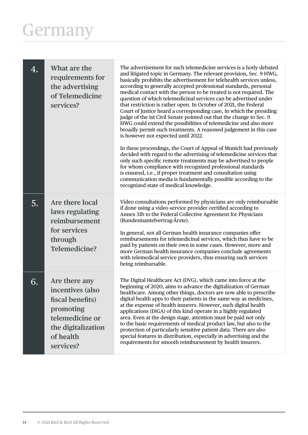#### Germany

| 4. | What are the<br>requirements for<br>the advertising<br>of Telemedicine<br>services?                                                   | The advertisement for such telemedicine services is a hotly debated<br>and litigated topic in Germany. The relevant provision, Sec. 9 HWG,<br>basically prohibits the advertisement for telehealth services unless,<br>according to generally accepted professional standards, personal<br>medical contact with the person to be treated is not required. The<br>question of which telemedicinal services can be advertised under<br>that restriction is rather open. In October of 2021, the Federal<br>Court of Justice heard a corresponding case, in which the presiding<br>judge of the 1st Civil Senate pointed out that the change to Sec. 9<br>HWG could extend the possibilities of telemedicine and also more<br>broadly permit such treatments. A reasoned judgement in this case<br>is however not expected until 2022.<br>In these proceedings, the Court of Appeal of Munich had previously<br>decided with regard to the advertising of telemedicine services that<br>only such specific remote treatments may be advertised to people<br>for whom compliance with recognized professional standards<br>is ensured, i.e., if proper treatment and consultation using<br>communication media is fundamentally possible according to the<br>recognized state of medical knowledge. |
|----|---------------------------------------------------------------------------------------------------------------------------------------|-------------------------------------------------------------------------------------------------------------------------------------------------------------------------------------------------------------------------------------------------------------------------------------------------------------------------------------------------------------------------------------------------------------------------------------------------------------------------------------------------------------------------------------------------------------------------------------------------------------------------------------------------------------------------------------------------------------------------------------------------------------------------------------------------------------------------------------------------------------------------------------------------------------------------------------------------------------------------------------------------------------------------------------------------------------------------------------------------------------------------------------------------------------------------------------------------------------------------------------------------------------------------------------------------|
| 5. | Are there local<br>laws regulating<br>reimbursement<br>for services<br>through<br>Telemedicine?                                       | Video consultations performed by physicians are only reimbursable<br>if done using a video service provider certified according to<br>Annex 31b to the Federal Collective Agreement for Physicians<br>(Bundesmantelvertrag-Ärzte).<br>In general, not all German health insurance companies offer<br>reimbursements for telemedicinal services, which thus have to be<br>paid by patients on their own in some cases. However, more and<br>more German health insurance companies conclude agreements<br>with telemedical service providers, thus ensuring such services<br>being reimbursable.                                                                                                                                                                                                                                                                                                                                                                                                                                                                                                                                                                                                                                                                                                 |
| 6. | Are there any<br>incentives (also<br>fiscal benefits)<br>promoting<br>telemedicine or<br>the digitalization<br>of health<br>services? | The Digital Healthcare Act (DVG), which came into force at the<br>beginning of 2020, aims to advance the digitalization of German<br>healthcare. Among other things, doctors are now able to prescribe<br>digital health apps to their patients in the same way as medicines,<br>at the expense of health insurers. However, such digital health<br>applications (DiGA) of this kind operate in a highly regulated<br>area. Even at the design stage, attention must be paid not only<br>to the basic requirements of medical product law, but also to the<br>protection of particularly sensitive patient data. There are also<br>special features in distribution, especially in advertising and the<br>requirements for smooth reimbursement by health insurers.                                                                                                                                                                                                                                                                                                                                                                                                                                                                                                                             |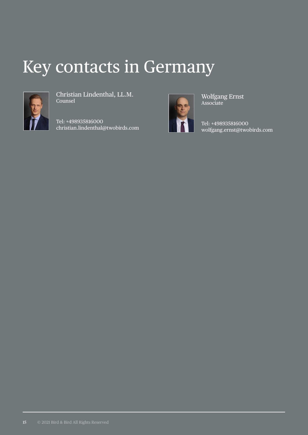#### Key contacts in Germany



Christian Lindenthal, LL.M. Counsel

Tel: +498935816000 christian.lindenthal@twobirds.com



Wolfgang Ernst Associate

Tel: +498935816000 wolfgang.ernst@twobirds.com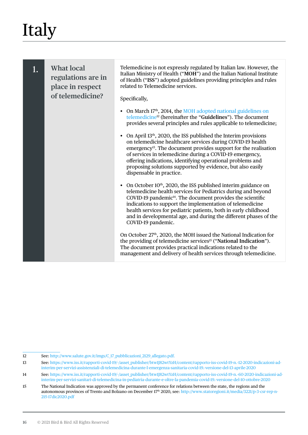<span id="page-17-0"></span>1. **What local regulations are in place in respect of telemedicine?** Telemedicine is not expressly regulated by Italian law. However, the Italian Ministry of Health ("**MOH**") and the Italian National Institute of Health ("**ISS**") adopted guidelines providing principles and rules related to Telemedicine services. Specifically, • On March 17<sup>th</sup>, 2014, the MOH adopted national guidelines on [telemedicine](http://www.salute.gov.it/imgs/C_17_pubblicazioni_2129_allegato.pdf)12 (hereinafter the "**Guidelines**"). The document provides several principles and rules applicable to telemedicine; • On April  $13<sup>th</sup>$ , 2020, the ISS published the Interim provisions on telemedicine healthcare services during COVID-19 health emergency<sup>13</sup>. The document provides support for the realisation of services in telemedicine during a COVID-19 emergency, offering indications, identifying operational problems and proposing solutions supported by evidence, but also easily dispensable in practice. • On October  $10<sup>th</sup>$ , 2020, the ISS published interim guidance on telemedicine health services for Pediatrics during and beyond COVID-19 pandemic<sup>14</sup>. The document provides the scientific indications to support the implementation of telemedicine health services for pediatric patients, both in early childhood and in developmental age, and during the different phases of the COVID-19 pandemic. On October 27<sup>th</sup>, 2020, the MOH issued the National Indication for the providing of telemedicine services<sup>15</sup> ("National Indication"). The document provides practical indications related to the management and delivery of health services through telemedicine.

<sup>12</sup> See: [http://www.salute.gov.it/imgs/C\\_17\\_pubblicazioni\\_2129\\_allegato.pdf.](http://www.salute.gov.it/imgs/C_17_pubblicazioni_2129_allegato.pdf)

<sup>13</sup> See: https://www.iss.it/rapporti-covid-19/-/asset\_publisher/btw1I82wtYzH/content/rapporto-iss-covid-19-n.-12-2020-indicazioni-adinterim-per-servizi-assistenziali-di-telemedicina-durante-l-emergenza-sanitaria-covid-19.-versione-del-13-aprile-2020

<sup>14</sup> See: https://www.iss.it/rapporti-covid-19/-/asset\_publisher/btw1J82wtYzH/content/rapporto-iss-covid-19-n.-60-2020-indicazioni-adinterim-per-servizi-sanitari-di-telemedicina-in-pediatria-durante-e-oltre-la-pandemia-covid-19.-versione-del-10-ottobre-2020

<sup>15</sup> The National Indication was approved by the permanent conference for relations between the state, the regions and the autonomous provinces of Trento and Bolzano on December 17<sup>th</sup> 2020, see: http://www.statoregioni.it/media/3221/p-3-csr-rep-n-215-17dic2020.pdf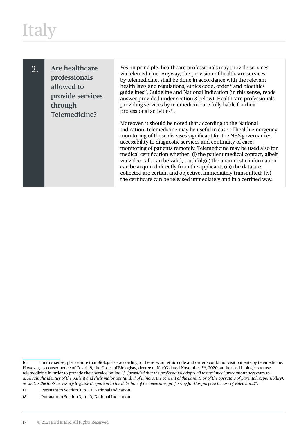2. **Are healthcare professionals allowed to provide services through Telemedicine?**

Yes, in principle, healthcare professionals may provide services via telemedicine. Anyway, the provision of healthcare services by telemedicine, shall be done in accordance with the relevant health laws and regulations, ethics code, order<sup>16</sup> and bioethics guidelines<sup>17</sup>, Guideline and National Indication (in this sense, reads answer provided under section 3 below). Healthcare professionals providing services by telemedicine are fully liable for their professional activities<sup>18</sup>.

Moreover, it should be noted that according to the National Indication, telemedicine may be useful in case of health emergency, monitoring of those diseases significant for the NHS governance; accessibility to diagnostic services and continuity of care; monitoring of patients remotely. Telemedicine may be used also for medical certification whether: (i) the patient medical contact, albeit via video call, can be valid, truthful;(ii) the anamnestic information can be acquired directly from the applicant; (iii) the data are collected are certain and objective, immediately transmitted; (iv) the certificate can be released immediately and in a certified way.

17 Pursuant to Section 3, p. 10, National Indication.

<sup>16</sup> In this sense, please note that Biologists – according to the relevant ethic code and order - could not visit patients by telemedicine. However, as consequence of Covid-19, the Order of Biologists, decree n. N. 103 dated November 5<sup>th</sup>, 2020, authorised biologists to use telemedicine in order to provide their service online "*[..]provided that the professional adopts all the technical precautions necessary to ascertain the identity of the patient and their major age (and, if of minors, the consent of the parents or of the operators of parental responsibility), as well as the tools necessary to guide the patient in the detection of the measures, preferring for this purpose the use of video links)*".

<sup>18</sup> Pursuant to Section 3, p. 10, National Indication.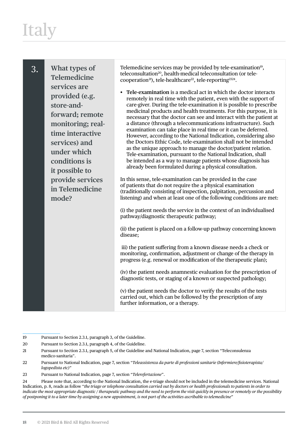| What types of<br>3.<br>Telemedicine<br>services are<br>provided (e.g.<br>store-and-<br>forward; remote<br>monitoring; real-<br>time interactive<br>services) and<br>under which<br>conditions is<br>it possible to<br>provide services<br>in Telemedicine<br>mode? | Telemedicine services may be provided by tele-examination <sup>19</sup> ,<br>teleconsultation <sup>20</sup> , health-medical teleconsultation (or tele-<br>cooperation <sup>21</sup> ), tele-healthcare <sup>22</sup> , tele-reporting <sup>2324</sup> .<br>Tele-examination is a medical act in which the doctor interacts<br>remotely in real time with the patient, even with the support of<br>care-giver. During the tele-examination it is possible to prescribe<br>medicinal products and health treatments. For this purpose, it is<br>necessary that the doctor can see and interact with the patient at<br>a distance (through a telecommunications infrastructure). Such<br>examination can take place in real time or it can be deferred.<br>However, according to the National Indication, considering also<br>the Doctors Ethic Code, tele-examination shall not be intended<br>as the unique approach to manage the doctor/patient relation.<br>Tele-examination, pursuant to the National Indication, shall<br>be intended as a way to manage patients whose diagnosis has<br>already been formulated during a physical consultation.<br>In this sense, tele-examination can be provided in the case<br>of patients that do not require the a physical examination<br>(traditionally consisting of inspection, palpitation, percussion and<br>listening) and when at least one of the following conditions are met:<br>(i) the patient needs the service in the context of an individualised<br>pathway/diagnostic therapeutic pathway;<br>(ii) the patient is placed on a follow-up pathway concerning known<br>disease;<br>iii) the patient suffering from a known disease needs a check or<br>monitoring, confirmation, adjustment or change of the therapy in<br>progress (e.g. renewal or modification of the therapeutic plan);<br>(iv) the patient needs anamnestic evaluation for the prescription of |
|--------------------------------------------------------------------------------------------------------------------------------------------------------------------------------------------------------------------------------------------------------------------|-------------------------------------------------------------------------------------------------------------------------------------------------------------------------------------------------------------------------------------------------------------------------------------------------------------------------------------------------------------------------------------------------------------------------------------------------------------------------------------------------------------------------------------------------------------------------------------------------------------------------------------------------------------------------------------------------------------------------------------------------------------------------------------------------------------------------------------------------------------------------------------------------------------------------------------------------------------------------------------------------------------------------------------------------------------------------------------------------------------------------------------------------------------------------------------------------------------------------------------------------------------------------------------------------------------------------------------------------------------------------------------------------------------------------------------------------------------------------------------------------------------------------------------------------------------------------------------------------------------------------------------------------------------------------------------------------------------------------------------------------------------------------------------------------------------------------------------------------------------------------------------------------------------------------------|
|                                                                                                                                                                                                                                                                    | diagnostic tests, or staging of a known or suspected pathology;<br>(v) the patient needs the doctor to verify the results of the tests<br>carried out, which can be followed by the prescription of any<br>further information, or a therapy.                                                                                                                                                                                                                                                                                                                                                                                                                                                                                                                                                                                                                                                                                                                                                                                                                                                                                                                                                                                                                                                                                                                                                                                                                                                                                                                                                                                                                                                                                                                                                                                                                                                                                 |

- 19 Pursuant to Section 2.3.1, paragraph 3, of the Guideline.
- 20 Pursuant to Section 2.3.1, paragraph 4, of the Guideline.
- 21 Pursuant to Section 2.3.1, paragraph 5, of the Guideline and National Indication, page 7, section "Teleconsulenza medico-sanitaria".
- 22 Pursuant to National Indication, page 7, section "*Teleassistenza da parte di professioni sanitarie (Infermiere/fisioterapista/ logopedista etc)"*
- 23 Pursuant to National Indication, page 7, section "*Telerefertazione*".

24 Please note that, according to the National Indication, the e-triage should not be included in the telemedicine services. National Indication, p. 8, reads as follow "*the triage or telephone consultation carried out by doctors or health professionals to patients in order to indicate the most appropriate diagnostic / therapeutic pathway and the need to perform the visit quickly in presence or remotely or the possibility of postponing it to a later time by assigning a new appointment, is not part of the activities ascribable to telemedicine*"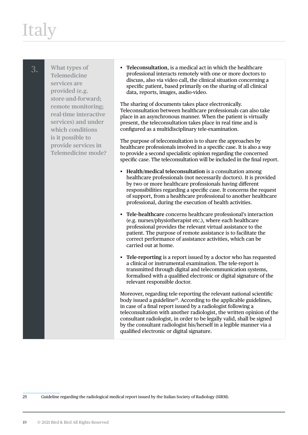3. **What types of Telemedicine services are provided (e.g. store-and-forward; remote monitoring; real-time interactive services) and under which conditions is it possible to provide services in Telemedicine mode?**

• **Teleconsultation**, is a medical act in which the healthcare professional interacts remotely with one or more doctors to discuss, also via video call, the clinical situation concerning a specific patient, based primarily on the sharing of all clinical data, reports, images, audio-video.

The sharing of documents takes place electronically. Teleconsultation between healthcare professionals can also take place in an asynchronous manner. When the patient is virtually present, the teleconsultation takes place in real time and is configured as a multidisciplinary tele-examination.

The purpose of teleconsultation is to share the approaches by healthcare professionals involved in a specific case. It is also a way to provide a second specialistic opinion regarding the concerned specific case. The teleconsultation will be included in the final report.

- **Health/medical teleconsultation** is a consultation among healthcare professionals (not necessarily doctors). It is provided by two or more healthcare professionals having different responsibilities regarding a specific case. It concerns the request of support, from a healthcare professional to another healthcare professional, during the execution of health activities.
- **Tele-healthcare** concerns healthcare professional's interaction (e.g. nurses/physiotherapist etc.), where each healthcare professional provides the relevant virtual assistance to the patient. The purpose of remote assistance is to facilitate the correct performance of assistance activities, which can be carried out at home.
- **Tele-reporting** is a report issued by a doctor who has requested a clinical or instrumental examination. The tele-report is transmitted through digital and telecommunication systems, formalised with a qualified electronic or digital signature of the relevant responsible doctor.

Moreover, regarding tele-reporting the relevant national scientific body issued a guideline<sup>25</sup>. According to the applicable guidelines, in case of a final report issued by a radiologist following a teleconsultation with another radiologist, the written opinion of the consultant radiologist, in order to be legally valid, shall be signed by the consultant radiologist his/herself in a legible manner via a qualified electronic or digital signature.

25 Guideline regarding the radiological medical report issued by the Italian Society of Radiology (SIRM).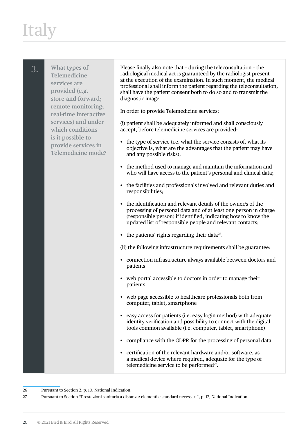# **Ital**

3. **What types of Telemedicine services are provided (e.g. store-and-forward; remote monitoring; real-time interactive services) and under which conditions is it possible to provide services in Telemedicine mode?** Please finally also note that – during the teleconsultation – the radiological medical act is guaranteed by the radiologist present at the execution of the examination. In such moment, the medical professional shall inform the patient regarding the teleconsultation, shall have the patient consent both to do so and to transmit the diagnostic image. In order to provide Telemedicine services: (i) patient shall be adequately informed and shall consciously accept, before telemedicine services are provided: • the type of service (i.e. what the service consists of, what its objective is, what are the advantages that the patient may have and any possible risks); • the method used to manage and maintain the information and who will have access to the patient's personal and clinical data; • the facilities and professionals involved and relevant duties and responsibilities; • the identification and relevant details of the owner/s of the processing of personal data and of at least one person in charge (responsible person) if identified, indicating how to know the updated list of responsible people and relevant contacts; • the patients' rights regarding their data $^{26}$ . (ii) the following infrastructure requirements shall be guarantee: • connection infrastructure always available between doctors and patients • web portal accessible to doctors in order to manage their patients • web page accessible to healthcare professionals both from computer, tablet, smartphone • easy access for patients (i.e. easy login method) with adequate identity verification and possibility to connect with the digital tools common available (i.e. computer, tablet, smartphone) • compliance with the GDPR for the processing of personal data • certification of the relevant hardware and/or software, as a medical device where required, adequate for the type of telemedicine service to be performed<sup>27</sup>.

26 Pursuant to Section 2, p. 10, National Indication.

27 Pursuant to Section "Prestazioni sanitaria a distanza: elementi e standard necessari", p. 12, National Indication.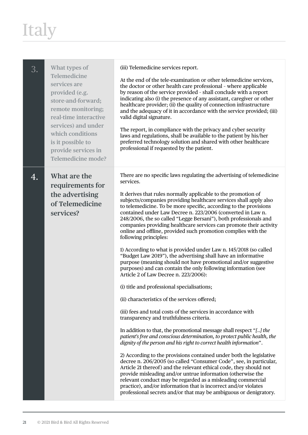| 3. | What types of<br>Telemedicine<br>services are<br>provided (e.g.<br>store-and-forward;<br>remote monitoring;<br>real-time interactive<br>services) and under<br>which conditions<br>is it possible to<br>provide services in<br>Telemedicine mode? | (iii) Telemedicine services report.<br>At the end of the tele-examination or other telemedicine services,<br>the doctor or other health care professional - where applicable<br>by reason of the service provided - shall conclude with a report<br>indicating also (i) the presence of any assistant, caregiver or other<br>healthcare provider; (ii) the quality of connection infrastructure<br>and the adequacy of it in accordance with the service provided; (iii)<br>valid digital signature.<br>The report, in compliance with the privacy and cyber security<br>laws and regulations, shall be available to the patient by his/her<br>preferred technology solution and shared with other healthcare<br>professional if requested by the patient.                                                                                                                                                                  |
|----|---------------------------------------------------------------------------------------------------------------------------------------------------------------------------------------------------------------------------------------------------|-----------------------------------------------------------------------------------------------------------------------------------------------------------------------------------------------------------------------------------------------------------------------------------------------------------------------------------------------------------------------------------------------------------------------------------------------------------------------------------------------------------------------------------------------------------------------------------------------------------------------------------------------------------------------------------------------------------------------------------------------------------------------------------------------------------------------------------------------------------------------------------------------------------------------------|
| 4. | What are the<br>requirements for<br>the advertising<br>of Telemedicine<br>services?                                                                                                                                                               | There are no specific laws regulating the advertising of telemedicine<br>services.<br>It derives that rules normally applicable to the promotion of<br>subjects/companies providing healthcare services shall apply also<br>to telemedicine. To be more specific, according to the provisions<br>contained under Law Decree n. 223/2006 (converted in Law n.<br>248/2006, the so called "Legge Bersani"), both professionals and<br>companies providing healthcare services can promote their activity<br>online and offline, provided such promotion complies with the<br>following principles:<br>1) According to what is provided under Law n. 145/2018 (so called<br>"Budget Law 2019"), the advertising shall have an informative<br>purpose (meaning should not have promotional and/or suggestive<br>purposes) and can contain the only following information (see<br>Article 2 of Law Decree n. 223/2006):          |
|    |                                                                                                                                                                                                                                                   | (i) title and professional specialisations;<br>(ii) characteristics of the services offered;<br>(iii) fees and total costs of the services in accordance with<br>transparency and truthfulness criteria.<br>In addition to that, the promotional message shall respect "[] the<br>patient's free and conscious determination, to protect public health, the<br>dignity of the person and his right to correct health information".<br>2) According to the provisions contained under both the legislative<br>decree n. 206/2005 (so called "Consumer Code", see, in particular,<br>Article 21 thereof) and the relevant ethical code, they should not<br>provide misleading and/or untrue information (otherwise the<br>relevant conduct may be regarded as a misleading commercial<br>practice), and/or information that is incorrect and/or violates<br>professional secrets and/or that may be ambiguous or denigratory. |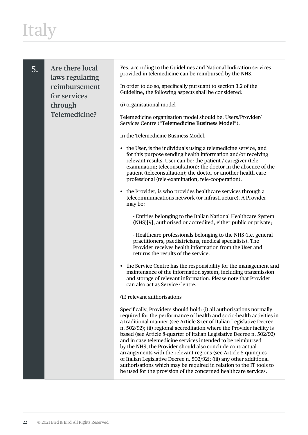| 5. | Are there local<br>laws regulating<br>reimbursement<br>for services<br>through | Yes, according to the Guidelines and National Indication services<br>provided in telemedicine can be reimbursed by the NHS.<br>In order to do so, specifically pursuant to section 3.2 of the<br>Guideline, the following aspects shall be considered:<br>(i) organisational model                                                                                                                                                                                                                                                                                                                                                                                                                                                                                                        |
|----|--------------------------------------------------------------------------------|-------------------------------------------------------------------------------------------------------------------------------------------------------------------------------------------------------------------------------------------------------------------------------------------------------------------------------------------------------------------------------------------------------------------------------------------------------------------------------------------------------------------------------------------------------------------------------------------------------------------------------------------------------------------------------------------------------------------------------------------------------------------------------------------|
|    | <b>Telemedicine?</b>                                                           | Telemedicine organisation model should be: Users/Provider/<br>Services Centre ("Telemedicine Business Model").                                                                                                                                                                                                                                                                                                                                                                                                                                                                                                                                                                                                                                                                            |
|    |                                                                                | In the Telemedicine Business Model,                                                                                                                                                                                                                                                                                                                                                                                                                                                                                                                                                                                                                                                                                                                                                       |
|    |                                                                                | • the User, is the individuals using a telemedicine service, and<br>for this purpose sending health information and/or receiving<br>relevant results. User can be: the patient / caregiver (tele-<br>examination; teleconsultation); the doctor in the absence of the<br>patient (teleconsultation); the doctor or another health care<br>professional (tele-examination, tele-cooperation).                                                                                                                                                                                                                                                                                                                                                                                              |
|    |                                                                                | • the Provider, is who provides healthcare services through a<br>telecommunications network (or infrastructure). A Provider<br>may be:                                                                                                                                                                                                                                                                                                                                                                                                                                                                                                                                                                                                                                                    |
|    |                                                                                | - Entities belonging to the Italian National Healthcare System<br>(NHS)[9], authorised or accredited, either public or private;                                                                                                                                                                                                                                                                                                                                                                                                                                                                                                                                                                                                                                                           |
|    |                                                                                | - Healthcare professionals belonging to the NHS (i.e. general<br>practitioners, paediatricians, medical specialists). The<br>Provider receives health information from the User and<br>returns the results of the service.                                                                                                                                                                                                                                                                                                                                                                                                                                                                                                                                                                |
|    |                                                                                | • the Service Centre has the responsibility for the management and<br>maintenance of the information system, including transmission<br>and storage of relevant information. Please note that Provider<br>can also act as Service Centre.                                                                                                                                                                                                                                                                                                                                                                                                                                                                                                                                                  |
|    |                                                                                | (ii) relevant authorisations                                                                                                                                                                                                                                                                                                                                                                                                                                                                                                                                                                                                                                                                                                                                                              |
|    |                                                                                | Specifically, Providers should hold: (i) all authorisations normally<br>required for the performance of health and socio-health activities in<br>a traditional manner (see Article 8-ter of Italian Legislative Decree<br>n. 502/92); (ii) regional accreditation where the Provider facility is<br>based (see Article 8-quarter of Italian Legislative Decree n. 502/92)<br>and in case telemedicine services intended to be reimbursed<br>by the NHS, the Provider should also conclude contractual<br>arrangements with the relevant regions (see Article 8-quinques<br>of Italian Legislative Decree n. 502/92); (iii) any other additional<br>authorisations which may be required in relation to the IT tools to<br>be used for the provision of the concerned healthcare services. |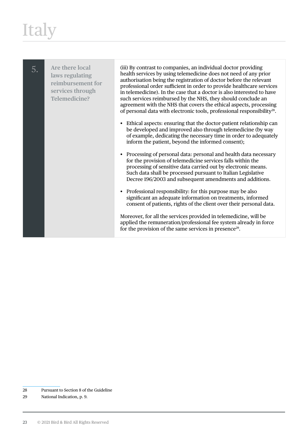| 5. | Are there local<br>laws regulating<br>reimbursement for<br>services through<br>Telemedicine? | (iii) By contrast to companies, an individual doctor providing<br>health services by using telemedicine does not need of any prior<br>authorisation being the registration of doctor before the relevant<br>professional order sufficient in order to provide healthcare services<br>in telemedicine). In the case that a doctor is also interested to have<br>such services reimbursed by the NHS, they should conclude an<br>agreement with the NHS that covers the ethical aspects, processing<br>of personal data with electronic tools, professional responsibility <sup>28</sup> . |
|----|----------------------------------------------------------------------------------------------|------------------------------------------------------------------------------------------------------------------------------------------------------------------------------------------------------------------------------------------------------------------------------------------------------------------------------------------------------------------------------------------------------------------------------------------------------------------------------------------------------------------------------------------------------------------------------------------|
|    |                                                                                              | Ethical aspects: ensuring that the doctor-patient relationship can<br>be developed and improved also through telemedicine (by way<br>of example, dedicating the necessary time in order to adequately<br>inform the patient, beyond the informed consent);                                                                                                                                                                                                                                                                                                                               |
|    |                                                                                              | • Processing of personal data: personal and health data necessary<br>for the provision of telemedicine services falls within the<br>processing of sensitive data carried out by electronic means.<br>Such data shall be processed pursuant to Italian Legislative<br>Decree 196/2003 and subsequent amendments and additions.                                                                                                                                                                                                                                                            |
|    |                                                                                              | Professional responsibility: for this purpose may be also<br>significant an adequate information on treatments, informed<br>consent of patients, rights of the client over their personal data.                                                                                                                                                                                                                                                                                                                                                                                          |
|    |                                                                                              | Moreover, for all the services provided in telemedicine, will be<br>applied the remuneration/professional fee system already in force<br>for the provision of the same services in presence <sup>29</sup> .                                                                                                                                                                                                                                                                                                                                                                              |

28 Pursuant to Section 8 of the Guideline

29 National Indication, p. 9.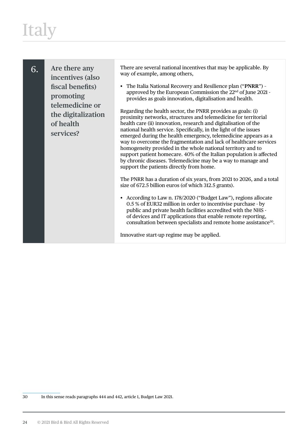6. **Are there any incentives (also fiscal benefits) promoting telemedicine or the digitalization of health services?**

There are several national incentives that may be applicable. By way of example, among others,

• The Italia National Recovery and Resilience plan ("**PNRR**") – approved by the European Commission the 22nd of June 2021 provides as goals innovation, digitalisation and health.

Regarding the health sector, the PNRR provides as goals: (i) proximity networks, structures and telemedicine for territorial health care (ii) innovation, research and digitalisation of the national health service. Specifically, in the light of the issues emerged during the health emergency, telemedicine appears as a way to overcome the fragmentation and lack of healthcare services homogeneity provided in the whole national territory and to support patient homecare. 40% of the Italian population is affected by chronic diseases. Telemedicine may be a way to manage and support the patients directly from home.

The PNRR has a duration of six years, from 2021 to 2026, and a total size of 672.5 billion euros (of which 312.5 grants).

• According to Law n. 178/2020 ("Budget Law"), regions allocate 0.5 % of EUR32 million in order to incentivise purchase - by public and private health facilities accredited with the NHS of devices and IT applications that enable remote reporting, consultation between specialists and remote home assistance<sup>30</sup>.

Innovative start-up regime may be applied.

30 In this sense reads paragraphs 444 and 442, article 1, Budget Law 2021.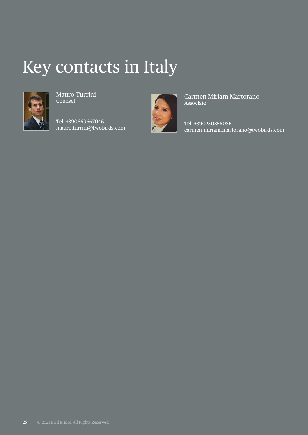#### Key contacts in Italy



Mauro Turrini Counsel

Tel: +390669667046 mauro.turrini@twobirds.com



Carmen Miriam Martorano Associate

Tel: +390230356086 carmen.miriam.martorano@twobirds.com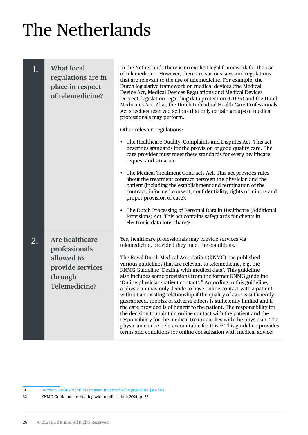<span id="page-27-0"></span>

| 1. | <b>What local</b><br>regulations are in<br>place in respect<br>of telemedicine?                      | In the Netherlands there is no explicit legal framework for the use<br>of telemedicine. However, there are various laws and regulations<br>that are relevant to the use of telemedicine. For example, the<br>Dutch legislative framework on medical devices (the Medical<br>Device Act, Medical Devices Regulations and Medical Devices<br>Decree), legislation regarding data protection (GDPR) and the Dutch<br>Medicines Act. Also, the Dutch Individual Health Care Professionals<br>Act specifies reserved actions that only certain groups of medical<br>professionals may perform.<br>Other relevant regulations:<br>• The Healthcare Quality, Complaints and Disputes Act. This act<br>describes standards for the provision of good quality care. The<br>care provider must meet these standards for every healthcare<br>request and situation.<br>• The Medical Treatment Contracts Act. This act provides rules<br>about the treatment contract between the physician and the<br>patient (including the establishment and termination of the<br>contract, informed consent, confidentiality, rights of minors and<br>proper provision of care).<br>• The Dutch Processing of Personal Data in Healthcare (Additional<br>Provisions) Act. This act contains safeguards for clients in |
|----|------------------------------------------------------------------------------------------------------|-------------------------------------------------------------------------------------------------------------------------------------------------------------------------------------------------------------------------------------------------------------------------------------------------------------------------------------------------------------------------------------------------------------------------------------------------------------------------------------------------------------------------------------------------------------------------------------------------------------------------------------------------------------------------------------------------------------------------------------------------------------------------------------------------------------------------------------------------------------------------------------------------------------------------------------------------------------------------------------------------------------------------------------------------------------------------------------------------------------------------------------------------------------------------------------------------------------------------------------------------------------------------------------------------|
| 2. | Are healthcare<br>professionals<br>allowed to<br>provide services<br>through<br><b>Telemedicine?</b> | electronic data interchange.<br>Yes, healthcare professionals may provide services via<br>telemedicine, provided they meet the conditions.<br>The Royal Dutch Medical Association (KNMG) has published<br>various guidelines that are relevant to telemedicine, e.g. the<br>KNMG Guideline 'Dealing with medical data'. This guideline<br>also includes some provisions from the former KNMG guideline<br>'Online physician-patient contact'. <sup>31</sup> According to this guideline,<br>a physician may only decide to have online contact with a patient<br>without an existing relationship if the quality of care is sufficiently<br>guaranteed, the risk of adverse effects is sufficiently limited and if<br>the care provided is of benefit to the patient. The responsibility for<br>the decision to maintain online contact with the patient and the<br>responsibility for the medical treatment lies with the physician. The<br>physician can be held accountable for this. <sup>32</sup> This guideline provides<br>terms and conditions for online consultation with medical advice:                                                                                                                                                                                             |

31 [Herzien: KNMG-richtlijn Omgaan met medische gegevens | KNMG.](https://www.knmg.nl/actualiteit-opinie/nieuws/nieuwsbericht/herzien-knmg-richtlijn-omgaan-met-medische-gegevens-1.htm)

32 KNMG Guideline for dealing with medical data 2021, p. 53.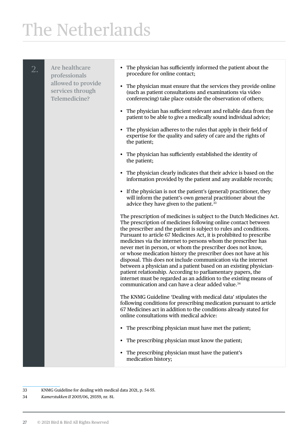2. **Are healthcare professionals allowed to provide services through Telemedicine?** • The physician has sufficiently informed the patient about the procedure for online contact; • The physician must ensure that the services they provide online (such as patient consultations and examinations via video conferencing) take place outside the observation of others; • The physician has sufficient relevant and reliable data from the patient to be able to give a medically sound individual advice; • The physician adheres to the rules that apply in their field of expertise for the quality and safety of care and the rights of the patient; • The physician has sufficiently established the identity of the patient; • The physician clearly indicates that their advice is based on the information provided by the patient and any available records; • If the physician is not the patient's (general) practitioner, they will inform the patient's own general practitioner about the advice they have given to the patient.<sup>33</sup> The prescription of medicines is subject to the Dutch Medicines Act. The prescription of medicines following online contact between the prescriber and the patient is subject to rules and conditions. Pursuant to article 67 Medicines Act, it is prohibited to prescribe medicines via the internet to persons whom the prescriber has never met in person, or whom the prescriber does not know, or whose medication history the prescriber does not have at his disposal. This does not include communication via the internet between a physician and a patient based on an existing physicianpatient relationship. According to parliamentary papers, the internet must be regarded as an addition to the existing means of communication and can have a clear added value.34 The KNMG Guideline 'Dealing with medical data' stipulates the following conditions for prescribing medication pursuant to article 67 Medicines act in addition to the conditions already stated for online consultations with medical advice: • The prescribing physician must have met the patient; • The prescribing physician must know the patient; • The prescribing physician must have the patient's medication history;

33 KNMG Guideline for dealing with medical data 2021, p. 54-55.

34 *Kamerstukken II* 2005/06, 29359, nr. 81.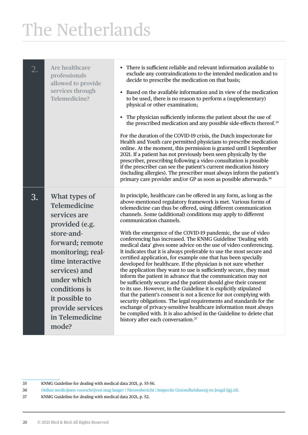| 2. | Are healthcare<br>professionals<br>allowed to provide<br>services through<br>Telemedicine?                                                                                                                                                                   | There is sufficient reliable and relevant information available to<br>exclude any contraindications to the intended medication and to<br>decide to prescribe the medication on that basis;<br>Based on the available information and in view of the medication<br>to be used, there is no reason to perform a (supplementary)<br>physical or other examination;<br>The physician sufficiently informs the patient about the use of<br>the prescribed medication and any possible side-effects thereof. <sup>35</sup><br>For the duration of the COVID-19 crisis, the Dutch inspectorate for<br>Health and Youth care permitted physicians to prescribe medication<br>online. At the moment, this permission is granted until 1 September<br>2021. If a patient has not previously been seen physically by the<br>prescriber, prescribing following a video consultation is possible<br>if the prescriber can see the patient's current medication history<br>(including allergies). The prescriber must always inform the patient's<br>primary care provider and/or GP as soon as possible afterwards. <sup>36</sup>                                                                                                                                                                                                                           |
|----|--------------------------------------------------------------------------------------------------------------------------------------------------------------------------------------------------------------------------------------------------------------|------------------------------------------------------------------------------------------------------------------------------------------------------------------------------------------------------------------------------------------------------------------------------------------------------------------------------------------------------------------------------------------------------------------------------------------------------------------------------------------------------------------------------------------------------------------------------------------------------------------------------------------------------------------------------------------------------------------------------------------------------------------------------------------------------------------------------------------------------------------------------------------------------------------------------------------------------------------------------------------------------------------------------------------------------------------------------------------------------------------------------------------------------------------------------------------------------------------------------------------------------------------------------------------------------------------------------------------------|
| 3. | What types of<br>Telemedicine<br>services are<br>provided (e.g.<br>store-and-<br>forward; remote<br>monitoring; real-<br>time interactive<br>services) and<br>under which<br>conditions is<br>it possible to<br>provide services<br>in Telemedicine<br>mode? | In principle, healthcare can be offered in any form, as long as the<br>above-mentioned regulatory framework is met. Various forms of<br>telemedicine can thus be offered, using different communication<br>channels. Some (additional) conditions may apply to different<br>communication channels.<br>With the emergence of the COVID-19 pandemic, the use of video<br>conferencing has increased. The KNMG Guideline 'Dealing with<br>medical data' gives some advice on the use of video conferencing.<br>It indicates that it is always preferable to use the most secure and<br>certified application, for example one that has been specially<br>developed for healthcare. If the physician is not sure whether<br>the application they want to use is sufficiently secure, they must<br>inform the patient in advance that the communication may not<br>be sufficiently secure and the patient should give their consent<br>to its use. However, in the Guideline it is explicitly stipulated<br>that the patient's consent is not a licence for not complying with<br>security obligations. The legal requirements and standards for the<br>exchange of privacy-sensitive healthcare information must always<br>be complied with. It is also advised in the Guideline to delete chat<br>history after each conversation. <sup>37</sup> |

<sup>35</sup> KNMG Guideline for dealing with medical data 2021, p. 55-56.

<sup>36</sup> [Online medicijnen voorschrijven mag langer | Nieuwsbericht | Inspectie Gezondheidszorg en Jeugd \(igj.nl\).](https://www.igj.nl/actueel/nieuws/2021/02/26/online-medicijnen-voorschrijven-mag-langer)

<sup>37</sup> KNMG Guideline for dealing with medical data 2021, p. 52.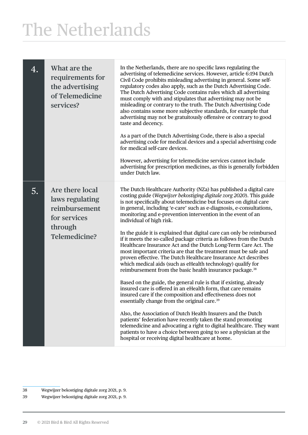| 4. | What are the<br>requirements for<br>the advertising<br>of Telemedicine<br>services?                    | In the Netherlands, there are no specific laws regulating the<br>advertising of telemedicine services. However, article 6:194 Dutch<br>Civil Code prohibits misleading advertising in general. Some self-<br>regulatory codes also apply, such as the Dutch Advertising Code.<br>The Dutch Advertising Code contains rules which all advertising<br>must comply with and stipulates that advertising may not be<br>misleading or contrary to the truth. The Dutch Advertising Code<br>also contains some more subjective standards, for example that<br>advertising may not be gratuitously offensive or contrary to good<br>taste and decency.<br>As a part of the Dutch Advertising Code, there is also a special<br>advertising code for medical devices and a special advertising code<br>for medical self-care devices.<br>However, advertising for telemedicine services cannot include<br>advertising for prescription medicines, as this is generally forbidden<br>under Dutch law.                                                                                                                                                                                                                                                                                                                                                                                                                                                                                         |
|----|--------------------------------------------------------------------------------------------------------|-------------------------------------------------------------------------------------------------------------------------------------------------------------------------------------------------------------------------------------------------------------------------------------------------------------------------------------------------------------------------------------------------------------------------------------------------------------------------------------------------------------------------------------------------------------------------------------------------------------------------------------------------------------------------------------------------------------------------------------------------------------------------------------------------------------------------------------------------------------------------------------------------------------------------------------------------------------------------------------------------------------------------------------------------------------------------------------------------------------------------------------------------------------------------------------------------------------------------------------------------------------------------------------------------------------------------------------------------------------------------------------------------------------------------------------------------------------------------------------|
| 5. | Are there local<br>laws regulating<br>reimbursement<br>for services<br>through<br><b>Telemedicine?</b> | The Dutch Healthcare Authority (NZa) has published a digital care<br>costing guide (Wegwijzer bekostiging digitale zorg 2020). This guide<br>is not specifically about telemedicine but focuses on digital care<br>in general, including 'e-care' such as e-diagnosis, e-consultations,<br>monitoring and e-prevention intervention in the event of an<br>individual of high risk.<br>In the guide it is explained that digital care can only be reimbursed<br>if it meets the so-called package criteria as follows from the Dutch<br>Healthcare Insurance Act and the Dutch Long-Term Care Act. The<br>most important criteria are that the treatment must be safe and<br>proven effective. The Dutch Healthcare Insurance Act describes<br>which medical aids (such as eHealth technology) qualify for<br>reimbursement from the basic health insurance package. <sup>38</sup><br>Based on the guide, the general rule is that if existing, already<br>insured care is offered in an eHealth form, that care remains<br>insured care if the composition and effectiveness does not<br>essentially change from the original care. <sup>39</sup><br>Also, the Association of Dutch Health Insurers and the Dutch<br>patients' federation have recently taken the stand promoting<br>telemedicine and advocating a right to digital healthcare. They want<br>patients to have a choice between going to see a physician at the<br>hospital or receiving digital healthcare at home. |

<sup>38</sup> Wegwijzer bekostiging digitale zorg 2021, p. 9.

<sup>39</sup> Wegwijzer bekostiging digitale zorg 2021, p. 9.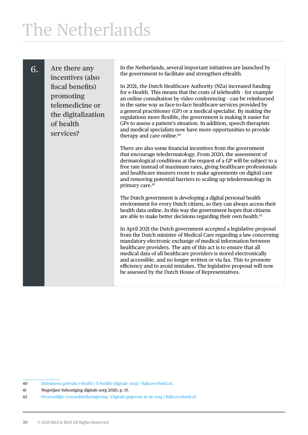6. **Are there any incentives (also fiscal benefits) promoting telemedicine or the digitalization of health services?**

In the Netherlands, several important initiatives are launched by the government to facilitate and strengthen eHealth.

In 2021, the Dutch Healthcare Authority (NZa) increased funding for e-Health. This means that the costs of telehealth – for example an online consultation by video conferencing – can be reimbursed in the same way as face-to-face healthcare services provided by a general practitioner (GP) or a medical specialist. By making the regulations more flexible, the government is making it easier for GPs to assess a patient's situation. In addition, speech therapists and medical specialists now have more opportunities to provide therapy and care online.<sup>40</sup>

There are also some financial incentives from the government that encourage teledermatology. From 2020, the assessment of dermatological conditions at the request of a GP will be subject to a free rate instead of maximum rates, giving healthcare professionals and healthcare insurers room to make agreements on digital care and removing potential barriers to scaling up teledermatology in primary care.<sup>41</sup>

The Dutch government is developing a digital personal health environment for every Dutch citizen, so they can always access their health data online. In this way the government hopes that citizens are able to make better decisions regarding their own health.42

In April 2021 the Dutch government accepted a legislative proposal from the Dutch minister of Medical Care regarding a law concerning mandatory electronic exchange of medical information between healthcare providers. The aim of this act is to ensure that all medical data of all healthcare providers is stored electronically and accessible, and no longer written or via fax. This to promote efficiency and to avoid mistakes. The legislative proposal will now be assessed by the Dutch House of Representatives.

<sup>40</sup> [Stimuleren gebruik e-health | E-health \(digitale zorg\) | Rijksoverheid.nl.](https://www.rijksoverheid.nl/onderwerpen/e-health/overheid-stimuleert-e-health)

<sup>41</sup> Wegwijzer bekostiging digitale zorg 2020, p. 15.

<sup>42</sup> [Persoonlijke Gezondheidsomgeving | Digitale gegevens in de zorg | Rijksoverheid.nl](https://www.rijksoverheid.nl/onderwerpen/digitale-gegevens-in-de-zorg/persoonlijke-gezondheidsomgeving)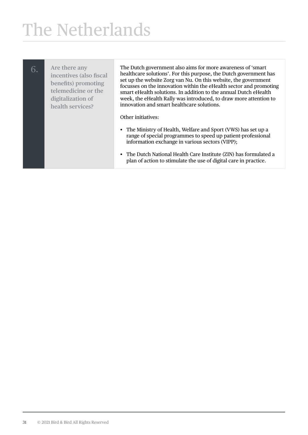| 6. | Are there any<br>incentives (also fiscal<br>benefits) promoting<br>telemedicine or the<br>digitalization of<br>health services? | The Dutch government also aims for more awareness of 'smart'<br>healthcare solutions'. For this purpose, the Dutch government has<br>set up the website Zorg van Nu. On this website, the government<br>focusses on the innovation within the eHealth sector and promoting<br>smart eHealth solutions. In addition to the annual Dutch eHealth<br>week, the eHealth Rally was introduced, to draw more attention to<br>innovation and smart healthcare solutions. |
|----|---------------------------------------------------------------------------------------------------------------------------------|-------------------------------------------------------------------------------------------------------------------------------------------------------------------------------------------------------------------------------------------------------------------------------------------------------------------------------------------------------------------------------------------------------------------------------------------------------------------|
|    |                                                                                                                                 | Other initiatives:                                                                                                                                                                                                                                                                                                                                                                                                                                                |
|    |                                                                                                                                 | • The Ministry of Health, Welfare and Sport (VWS) has set up a<br>range of special programmes to speed up patient-professional<br>information exchange in various sectors (VIPP);                                                                                                                                                                                                                                                                                 |
|    |                                                                                                                                 | • The Dutch National Health Care Institute (ZIN) has formulated a<br>plan of action to stimulate the use of digital care in practice.                                                                                                                                                                                                                                                                                                                             |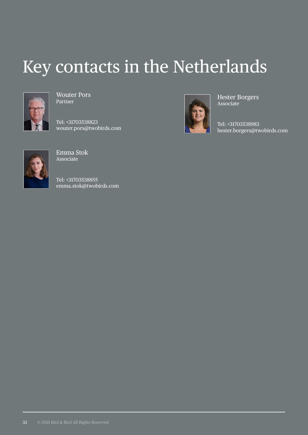### Key contacts in the Netherlands



Wouter Pors Partner

Tel: +31703538823 wouter.pors@twobirds.com



Hester Borgers Associate

Tel: +31703538983 hester.borgers@twobirds.com



Emma Stok Associate

Tel: +31703538855 emma.stok@twobirds.com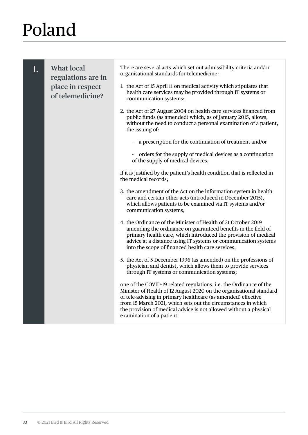<span id="page-34-0"></span>

| 1. | <b>What local</b><br>regulations are in<br>place in respect<br>of telemedicine? | There are several acts which set out admissibility criteria and/or<br>organisational standards for telemedicine:<br>1. the Act of 15 April 11 on medical activity which stipulates that<br>health care services may be provided through IT systems or<br>communication systems;                                                                                               |
|----|---------------------------------------------------------------------------------|-------------------------------------------------------------------------------------------------------------------------------------------------------------------------------------------------------------------------------------------------------------------------------------------------------------------------------------------------------------------------------|
|    |                                                                                 | 2. the Act of 27 August 2004 on health care services financed from<br>public funds (as amended) which, as of January 2015, allows,<br>without the need to conduct a personal examination of a patient,<br>the issuing of:                                                                                                                                                     |
|    |                                                                                 | - a prescription for the continuation of treatment and/or                                                                                                                                                                                                                                                                                                                     |
|    |                                                                                 | orders for the supply of medical devices as a continuation<br>of the supply of medical devices,                                                                                                                                                                                                                                                                               |
|    |                                                                                 | if it is justified by the patient's health condition that is reflected in<br>the medical records;                                                                                                                                                                                                                                                                             |
|    |                                                                                 | 3. the amendment of the Act on the information system in health<br>care and certain other acts (introduced in December 2015),<br>which allows patients to be examined via IT systems and/or<br>communication systems;                                                                                                                                                         |
|    |                                                                                 | 4. the Ordinance of the Minister of Health of 31 October 2019<br>amending the ordinance on guaranteed benefits in the field of<br>primary health care, which introduced the provision of medical<br>advice at a distance using IT systems or communication systems<br>into the scope of financed health care services;                                                        |
|    |                                                                                 | 5. the Act of 5 December 1996 (as amended) on the professions of<br>physician and dentist, which allows them to provide services<br>through IT systems or communication systems;                                                                                                                                                                                              |
|    |                                                                                 | one of the COVID-19 related regulations, i.e. the Ordinance of the<br>Minister of Health of 12 August 2020 on the organisational standard<br>of tele-advising in primary healthcare (as amended) effective<br>from 15 March 2021, which sets out the circumstances in which<br>the provision of medical advice is not allowed without a physical<br>examination of a patient. |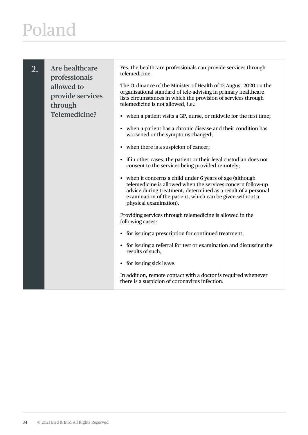2. **Are healthcare professionals allowed to provide services through Telemedicine?**

Yes, the healthcare professionals can provide services through telemedicine.

The Ordinance of the Minister of Health of 12 August 2020 on the organisational standard of tele-advising in primary healthcare lists circumstances in which the provision of services through telemedicine is not allowed, i.e.:

- when a patient visits a GP, nurse, or midwife for the first time;
- when a patient has a chronic disease and their condition has worsened or the symptoms changed;
- when there is a suspicion of cancer;
- if in other cases, the patient or their legal custodian does not consent to the services being provided remotely;
- when it concerns a child under 6 years of age (although telemedicine is allowed when the services concern follow-up advice during treatment, determined as a result of a personal examination of the patient, which can be given without a physical examination).

Providing services through telemedicine is allowed in the following cases:

- for issuing a prescription for continued treatment,
- for issuing a referral for test or examination and discussing the results of such,
- for issuing sick leave.

In addition, remote contact with a doctor is required whenever there is a suspicion of coronavirus infection.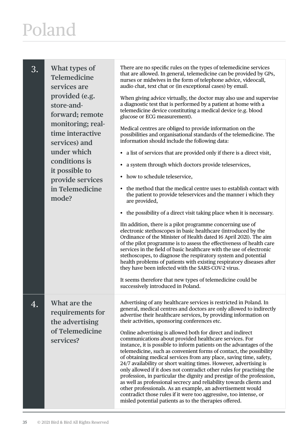| 3. | What types of<br><b>Telemedicine</b><br>services are<br>provided (e.g.<br>store-and-<br>forward; remote<br>monitoring; real-<br>time interactive<br>services) and<br>under which<br>conditions is<br>it possible to<br>provide services<br>in Telemedicine<br>mode? | There are no specific rules on the types of telemedicine services<br>that are allowed. In general, telemedicine can be provided by GPs,<br>nurses or midwives in the form of telephone advice, videocall,<br>audio chat, text chat or (in exceptional cases) by email.<br>When giving advice virtually, the doctor may also use and supervise<br>a diagnostic test that is performed by a patient at home with a<br>telemedicine device constituting a medical device (e.g. blood<br>glucose or ECG measurement).<br>Medical centres are obliged to provide information on the<br>possibilities and organisational standards of the telemedicine. The<br>information should include the following data:<br>a list of services that are provided only if there is a direct visit,<br>$\bullet$<br>a system through which doctors provide teleservices,<br>• how to schedule teleservice,<br>• the method that the medical centre uses to establish contact with<br>the patient to provide teleservices and the manner i which they<br>are provided,<br>the possibility of a direct visit taking place when it is necessary.<br>IIn addition, there is a pilot programme concerning use of<br>electronic stethoscopes in basic healthcare (introduced by the<br>Ordinance of the Minister of Health dated 16 April 2021). The aim<br>of the pilot programme is to assess the effectiveness of health care<br>services in the field of basic healthcare with the use of electronic<br>stethoscopes, to diagnose the respiratory system and potential<br>health problems of patients with existing respiratory diseases after<br>they have been infected with the SARS-COV-2 virus.<br>It seems therefore that new types of telemedicine could be<br>successively introduced in Poland. |
|----|---------------------------------------------------------------------------------------------------------------------------------------------------------------------------------------------------------------------------------------------------------------------|-------------------------------------------------------------------------------------------------------------------------------------------------------------------------------------------------------------------------------------------------------------------------------------------------------------------------------------------------------------------------------------------------------------------------------------------------------------------------------------------------------------------------------------------------------------------------------------------------------------------------------------------------------------------------------------------------------------------------------------------------------------------------------------------------------------------------------------------------------------------------------------------------------------------------------------------------------------------------------------------------------------------------------------------------------------------------------------------------------------------------------------------------------------------------------------------------------------------------------------------------------------------------------------------------------------------------------------------------------------------------------------------------------------------------------------------------------------------------------------------------------------------------------------------------------------------------------------------------------------------------------------------------------------------------------------------------------------------------------------------------------------------------------------|
| 4. | What are the<br>requirements for<br>the advertising<br>of Telemedicine<br>services?                                                                                                                                                                                 | Advertising of any healthcare services is restricted in Poland. In<br>general, medical centres and doctors are only allowed to indirectly<br>advertise their healthcare services, by providing information on<br>their activities, sponsoring conferences etc.<br>Online advertising is allowed both for direct and indirect<br>communications about provided healthcare services. For<br>instance, it is possible to inform patients on the advantages of the<br>telemedicine, such as convenient forms of contact, the possibility<br>of obtaining medical services from any place, saving time, safety,<br>24/7 availability or short waiting times. However, advertising is<br>only allowed if it does not contradict other rules for practising the<br>profession, in particular the dignity and prestige of the profession,<br>as well as professional secrecy and reliability towards clients and<br>other professionals. As an example, an advertisement would<br>contradict those rules if it were too aggressive, too intense, or<br>misled potential patients as to the therapies offered.                                                                                                                                                                                                                                                                                                                                                                                                                                                                                                                                                                                                                                                                               |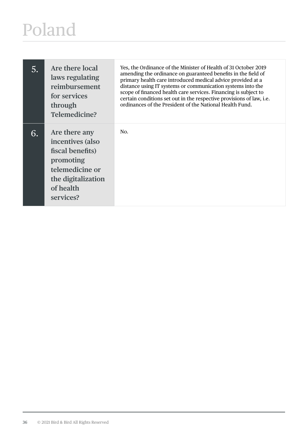| 5. | Are there local<br>laws regulating<br>reimbursement<br>for services<br>through<br>Telemedicine?                                       | Yes, the Ordinance of the Minister of Health of 31 October 2019<br>amending the ordinance on guaranteed benefits in the field of<br>primary health care introduced medical advice provided at a<br>distance using IT systems or communication systems into the<br>scope of financed health care services. Financing is subject to<br>certain conditions set out in the respective provisions of law, i.e.<br>ordinances of the President of the National Health Fund. |
|----|---------------------------------------------------------------------------------------------------------------------------------------|-----------------------------------------------------------------------------------------------------------------------------------------------------------------------------------------------------------------------------------------------------------------------------------------------------------------------------------------------------------------------------------------------------------------------------------------------------------------------|
| 6. | Are there any<br>incentives (also<br>fiscal benefits)<br>promoting<br>telemedicine or<br>the digitalization<br>of health<br>services? | No.                                                                                                                                                                                                                                                                                                                                                                                                                                                                   |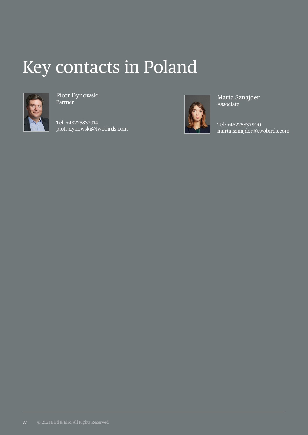#### Key contacts in Poland



Piotr Dynowski Partner

Tel: +48225837914 piotr.dynowski@twobirds.com



Marta Sznajder Associate

Tel: +48225837900 marta.sznajder@twobirds.com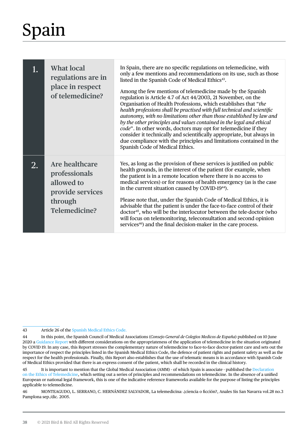# <span id="page-39-0"></span>Spain

|    | <b>What local</b><br>regulations are in<br>place in respect<br>of telemedicine?               | In Spain, there are no specific regulations on telemedicine, with<br>only a few mentions and recommendations on its use, such as those<br>listed in the Spanish Code of Medical Ethics <sup>43</sup> .<br>Among the few mentions of telemedicine made by the Spanish<br>regulation is Article 4.7 of Act 44/2003, 21 November, on the<br>Organisation of Health Professions, which establishes that "the<br>health professions shall be practised with full technical and scientific<br>autonomy, with no limitations other than those established by law and<br>by the other principles and values contained in the legal and ethical<br>code". In other words, doctors may opt for telemedicine if they<br>consider it technically and scientifically appropriate, but always in<br>due compliance with the principles and limitations contained in the<br>Spanish Code of Medical Ethics. |
|----|-----------------------------------------------------------------------------------------------|----------------------------------------------------------------------------------------------------------------------------------------------------------------------------------------------------------------------------------------------------------------------------------------------------------------------------------------------------------------------------------------------------------------------------------------------------------------------------------------------------------------------------------------------------------------------------------------------------------------------------------------------------------------------------------------------------------------------------------------------------------------------------------------------------------------------------------------------------------------------------------------------|
| 2. | Are healthcare<br>professionals<br>allowed to<br>provide services<br>through<br>Telemedicine? | Yes, as long as the provision of these services is justified on public<br>health grounds, in the interest of the patient (for example, when<br>the patient is in a remote location where there is no access to<br>medical services) or for reasons of health emergency (as is the case<br>in the current situation caused by COVID-19 <sup>44</sup> ).<br>Please note that, under the Spanish Code of Medical Ethics, it is<br>advisable that the patient is under the face-to-face control of their<br>doctor <sup>45</sup> , who will be the interlocutor between the tele-doctor (who<br>will focus on telemonitoring, teleconsultation and second opinion<br>services <sup>46</sup> ) and the final decision-maker in the care process.                                                                                                                                                  |

#### 43 Article 26 of the [Spanish Medical Ethics Code.](https://www.cgcom.es/sites/default/files/codigo_deontologia_medica.pdf)

<sup>44</sup> In this point, the Spanish Council of Medical Associations (*Consejo General de Colegios Medicos de España*) published on 10 June 2020 a [Guidance Report](http://www.medicosypacientes.com/sites/default/files/INFORME E CONSULTA_CCD_10_06_2020 %281%29.pdf) with different considerations on the appropriateness of the application of telemedicine in the situation originated by COVID 19. In any case, this Report stresses the complementary nature of telemedicine to face-to-face doctor-patient care and sets out the importance of respect the principles listed in the Spanish Medical Ethics Code, the defence of patient rights and patient safety as well as the respect for the health professionals. Finally, this Report also establishes that the use of telematic means is in accordance with Spanish Code of Medical Ethics provided that there is an express consent of the patient, which shall be recorded in the clinical history.

<sup>45</sup> It is important to mention that the Global Medical Association (AMM) - of which Spain is associate - published the [Declaration](https://www.wma.net/es/policies-post/declaracion-de-la-amm-sobre-la-etica-de-la-telemedicina/)  [on the Ethics of Telemedicine,](https://www.wma.net/es/policies-post/declaracion-de-la-amm-sobre-la-etica-de-la-telemedicina/) which setting out a series of principles and recommendations on telemedicine. In the absence of a unified European or national legal framework, this is one of the indicative reference frameworks available for the purpose of listing the principles applicable to telemedicine.

<sup>46</sup> MONTEAGUDO, L. SERRANO, C. HERNÁNDEZ SALVADOR, La telemedicina: ¿ciencia o ficción?, Anales Sis San Navarra vol.28 no.3 Pamplona sep./dic. 2005.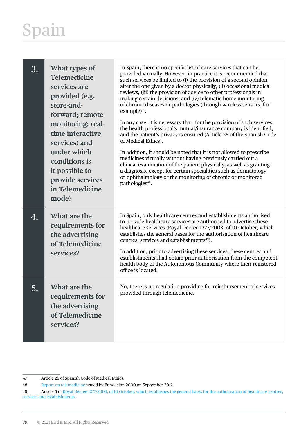# Spain

| 3. | What types of<br>Telemedicine<br>services are<br>provided (e.g.<br>store-and-<br>forward; remote<br>monitoring; real-<br>time interactive<br>services) and<br>under which<br>conditions is<br>it possible to<br>provide services<br>in Telemedicine<br>mode? | In Spain, there is no specific list of care services that can be<br>provided virtually. However, in practice it is recommended that<br>such services be limited to (i) the provision of a second opinion<br>after the one given by a doctor physically; (ii) occasional medical<br>reviews; (iii) the provision of advice to other professionals in<br>making certain decisions; and (iv) telematic home monitoring<br>of chronic diseases or pathologies (through wireless sensors, for<br>example) <sup>47</sup> .<br>In any case, it is necessary that, for the provision of such services,<br>the health professional's mutual/insurance company is identified,<br>and the patient's privacy is ensured (Article 26 of the Spanish Code<br>of Medical Ethics).<br>In addition, it should be noted that it is not allowed to prescribe<br>medicines virtually without having previously carried out a<br>clinical examination of the patient physically, as well as granting<br>a diagnosis, except for certain specialities such as dermatology<br>or ophthalmology or the monitoring of chronic or monitored<br>pathologies <sup>48</sup> . |
|----|--------------------------------------------------------------------------------------------------------------------------------------------------------------------------------------------------------------------------------------------------------------|--------------------------------------------------------------------------------------------------------------------------------------------------------------------------------------------------------------------------------------------------------------------------------------------------------------------------------------------------------------------------------------------------------------------------------------------------------------------------------------------------------------------------------------------------------------------------------------------------------------------------------------------------------------------------------------------------------------------------------------------------------------------------------------------------------------------------------------------------------------------------------------------------------------------------------------------------------------------------------------------------------------------------------------------------------------------------------------------------------------------------------------------------|
| 4. | What are the<br>requirements for<br>the advertising<br>of Telemedicine<br>services?                                                                                                                                                                          | In Spain, only healthcare centres and establishments authorised<br>to provide healthcare services are authorised to advertise these<br>healthcare services (Royal Decree 1277/2003, of 10 October, which<br>establishes the general bases for the authorisation of healthcare<br>centres, services and establishments <sup>49</sup> ).<br>In addition, prior to advertising these services, these centres and<br>establishments shall obtain prior authorisation from the competent<br>health body of the Autonomous Community where their registered<br>office is located.                                                                                                                                                                                                                                                                                                                                                                                                                                                                                                                                                                      |
| 5. | What are the<br>requirements for<br>the advertising<br>of Telemedicine<br>services?                                                                                                                                                                          | No, there is no regulation providing for reimbursement of services<br>provided through telemedicine.                                                                                                                                                                                                                                                                                                                                                                                                                                                                                                                                                                                                                                                                                                                                                                                                                                                                                                                                                                                                                                             |

<sup>47</sup> Article 26 of Spanish Code of Medical Ethics.

<sup>48</sup> [Report on telemedicine](https://www.fundacionmercksalud.com/wp-content/uploads/2017/05/5_Telemedicina_ampliaci%C3%B3n.pdf) issued by Fundación 2000 on September 2012.

<sup>49</sup> Article 6 of [Royal Decree 1277/2003, of 10 October, which establishes the general bases for the authorisation of healthcare centres,](https://www.boe.es/buscar/act.php?id=BOE-A-2003-19572)  [services and establishments.](https://www.boe.es/buscar/act.php?id=BOE-A-2003-19572)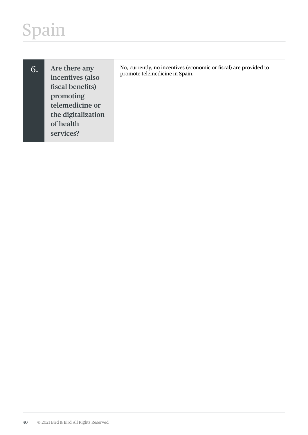# Spain

| 6. | Are there any<br>incentives (also<br>fiscal benefits)<br>promoting<br>telemedicine or<br>the digitalization<br>of health<br>services? | No, currently, no incentives (economic or fiscal) are provided to<br>promote telemedicine in Spain. |
|----|---------------------------------------------------------------------------------------------------------------------------------------|-----------------------------------------------------------------------------------------------------|
|    |                                                                                                                                       |                                                                                                     |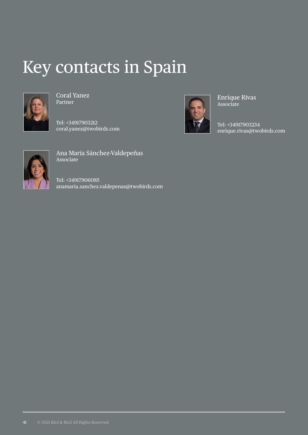#### Key contacts in Spain



Coral Yanez Partner

Tel: +34917903212 coral.yanez@twobirds.com



Enrique Rivas **Associate** 

Tel: +34917903234 enrique.rivas@twobirds.com



Ana María Sánchez-Valdepeñas Associate

Tel: +34917906085 anamaria.sanchez.valdepenas@twobirds.com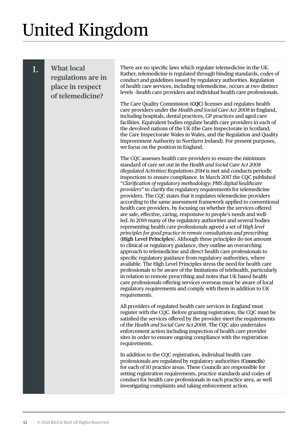# <span id="page-43-0"></span>United Kingdom

#### 1. **What local regulations are in place in respect of telemedicine?**

There are no specific laws which regulate telemedicine in the UK. Rather, telemedicine is regulated through binding standards, codes of conduct and guidelines issued by regulatory authorities. Regulation of health care services, including telemedicine, occurs at two distinct levels –health care providers and individual health care professionals.

The Care Quality Commission (**CQC**) licenses and regulates health care providers under the *Health and Social Care Act 2008* in England, including hospitals, dental practices, GP practices and aged care facilities. Equivalent bodies regulate health care providers in each of the devolved nations of the UK (the Care Inspectorate in Scotland, the Care Inspectorate Wales in Wales, and the Regulation and Quality Improvement Authority in Northern Ireland). For present purposes, we focus on the position in England.

The CQC assesses health care providers to ensure the minimum standard of care set out in the *Health and Social Care Act 2008 (Regulated Activities) Regulations 2014* is met and conducts periodic inspections to ensure compliance. In March 2017 the CQC published "*Clarification of regulatory methodology: PMS digital healthcare providers*" to clarify the regulatory requirements for telemedicine providers. The CQC states that it regulates telemedicine providers according to the same assessment framework applied to conventional health care providers, by focusing on whether the services offered are safe, effective, caring, responsive to people's needs and wellled. In 2019 many of the regulatory authorities and several bodies representing health care professionals agreed a set of *High level principles for good practice in remote consultations and prescribing* (**High Level Principles**). Although these principles do not amount to clinical or regulatory guidance, they outline an overarching approach to telemedicine and direct health care professionals to specific regulatory guidance from regulatory authorities, where available. The High Level Principles stress the need for health care professionals to be aware of the limitations of telehealth, particularly in relation to remote prescribing and notes that UK based health care professionals offering services overseas must be aware of local regulatory requirements and comply with them in addition to UK requirements.

All providers of regulated health care services in England must register with the CQC. Before granting registration, the CQC must be satisfied the services offered by the provider meet the requirements of the *Health and Social Care Act 2008*. The CQC also undertakes enforcement action including inspection of health care provider sites in order to ensure ongoing compliance with the registration requirements.

In addition to the CQC registration, individual health care professionals are regulated by regulatory authorities (**Councils**) for each of 10 practice areas. These Councils are responsible for setting registration requirements, practice standards and codes of conduct for health care professionals in each practice area, as well investigating complaints and taking enforcement action.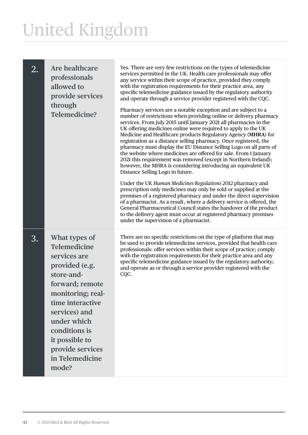# United Kingdom

| 2. | Are healthcare<br>professionals<br>allowed to<br>provide services<br>through<br><b>Telemedicine?</b>                                                                                                                                                         | Yes. There are very few restrictions on the types of telemedicine<br>services permitted in the UK. Health care professionals may offer<br>any service within their scope of practice, provided they comply<br>with the registration requirements for their practice area, any<br>specific telemedicine guidance issued by the regulatory authority<br>and operate through a service provider registered with the CQC.<br>Pharmacy services are a notable exception and are subject to a<br>number of restrictions when providing online or delivery pharmacy<br>services. From July 2015 until January 2021 all pharmacies in the<br>UK offering medicines online were required to apply to the UK<br>Medicine and Healthcare products Regulatory Agency (MHRA) for<br>registration as a distance selling pharmacy. Once registered, the<br>pharmacy must display the EU Distance Selling Logo on all parts of<br>the website where medicines are offered for sale. From 1 January<br>2021 this requirement was removed (except in Northern Ireland);<br>however, the MHRA is considering introducing an equivalent UK<br>Distance Selling Logo in future.<br>Under the UK Human Medicines Regulations 2012 pharmacy and<br>prescription only medicines may only be sold or supplied at the<br>premises of a registered pharmacy and under the direct supervision<br>of a pharmacist. As a result, where a delivery service is offered, the<br>General Pharmaceutical Council states the handover of the product<br>to the delivery agent must occur at registered pharmacy premises<br>under the supervision of a pharmacist. |
|----|--------------------------------------------------------------------------------------------------------------------------------------------------------------------------------------------------------------------------------------------------------------|--------------------------------------------------------------------------------------------------------------------------------------------------------------------------------------------------------------------------------------------------------------------------------------------------------------------------------------------------------------------------------------------------------------------------------------------------------------------------------------------------------------------------------------------------------------------------------------------------------------------------------------------------------------------------------------------------------------------------------------------------------------------------------------------------------------------------------------------------------------------------------------------------------------------------------------------------------------------------------------------------------------------------------------------------------------------------------------------------------------------------------------------------------------------------------------------------------------------------------------------------------------------------------------------------------------------------------------------------------------------------------------------------------------------------------------------------------------------------------------------------------------------------------------------------------------------------------------------------------------------------------|
| 3. | What types of<br>Telemedicine<br>services are<br>provided (e.g.<br>store-and-<br>forward; remote<br>monitoring; real-<br>time interactive<br>services) and<br>under which<br>conditions is<br>it possible to<br>provide services<br>in Telemedicine<br>mode? | There are no specific restrictions on the type of platform that may<br>be used to provide telemedicine services, provided that health care<br>professionals: offer services within their scope of practice; comply<br>with the registration requirements for their practice area and any<br>specific telemedicine guidance issued by the regulatory authority;<br>and operate as or through a service provider registered with the<br>CQC.                                                                                                                                                                                                                                                                                                                                                                                                                                                                                                                                                                                                                                                                                                                                                                                                                                                                                                                                                                                                                                                                                                                                                                                     |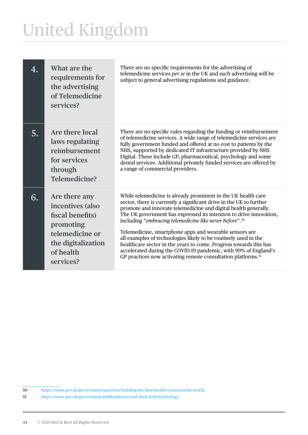# United Kingdom

| 4. | What are the<br>requirements for<br>the advertising<br>of Telemedicine<br>services?                                                   | There are no specific requirements for the advertising of<br>telemedicine services per se in the UK and such advertising will be<br>subject to general advertising regulations and guidance.                                                                                                                                                                                                                                                                                                                                                                                                                                                                                                          |
|----|---------------------------------------------------------------------------------------------------------------------------------------|-------------------------------------------------------------------------------------------------------------------------------------------------------------------------------------------------------------------------------------------------------------------------------------------------------------------------------------------------------------------------------------------------------------------------------------------------------------------------------------------------------------------------------------------------------------------------------------------------------------------------------------------------------------------------------------------------------|
| 5. | Are there local<br>laws regulating<br>reimbursement<br>for services<br>through<br>Telemedicine?                                       | There are no specific rules regarding the funding or reimbursement<br>of telemedicine services. A wide range of telemedicine services are<br>fully government funded and offered at no cost to patients by the<br>NHS, supported by dedicated IT infrastructure provided by NHS<br>Digital. These include GP, pharmaceutical, psychology and some<br>dental services. Additional privately funded services are offered by<br>a range of commercial providers.                                                                                                                                                                                                                                         |
| 6. | Are there any<br>incentives (also<br>fiscal benefits)<br>promoting<br>telemedicine or<br>the digitalization<br>of health<br>services? | While telemedicine is already prominent in the UK health care<br>sector, there is currently a significant drive in the UK to further<br>promote and innovate telemedicine and digital health generally.<br>The UK government has expressed its intention to drive innovation,<br>including "embracing telemedicine like never before". <sup>50</sup><br>Telemedicine, smartphone apps and wearable sensors are<br>all examples of technologies likely to be routinely used in the<br>healthcare sector in the years to come. Progress towards this has<br>accelerated during the COVID-19 pandemic, with 99% of England's<br>GP practices now activating remote consultation platforms. <sup>51</sup> |

<sup>50</sup> https://www.gov.uk/government/speeches/building-the-best-health-system-in-the-world.

<sup>51</sup> https://www.gov.uk/government/publications/trend-deck-2021-technology.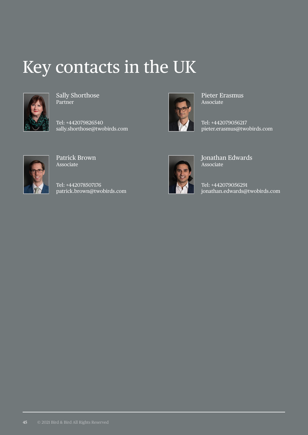#### Key contacts in the UK



Sally Shorthose Partner

Tel: +442079826540 sally.shorthose@twobirds.com



Pieter Erasmus Associate

Tel: +442079056217 pieter.erasmus@twobirds.com



Patrick Brown Associate

Tel: +442078507176 patrick.brown@twobirds.com



Jonathan Edwards Associate

Tel: +442079056291 jonathan.edwards@twobirds.com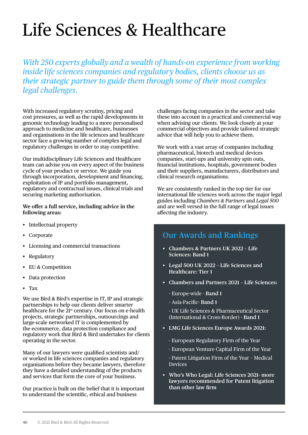# <span id="page-47-0"></span>Life Sciences & Healthcare

*With 250 experts globally and a wealth of hands-on experience from working inside life sciences companies and regulatory bodies, clients choose us as their strategic partner to guide them through some of their most complex legal challenges.*

With increased regulatory scrutiny, pricing and cost pressures, as well as the rapid developments in genomic technology leading to a more personalised approach to medicine and healthcare, businesses and organisations in the life sciences and healthcare sector face a growing number of complex legal and regulatory challenges in order to stay competitive.

Our multidisciplinary Life Sciences and Healthcare team can advise you on every aspect of the business cycle of your product or service. We guide you through incorporation, development and financing, exploitation of IP and portfolio management, regulatory and contractual issues, clinical trials and securing marketing authorisation.

**We offer a full service, including advice in the following areas:** 

- Intellectual property
- Corporate
- Licensing and commercial transactions
- **Regulatory**
- EU & Competition
- Data protection
- Tax

We use Bird & Bird's expertise in IT, IP and strategic partnerships to help our clients deliver smarter healthcare for the 21<sup>st</sup> century. Our focus on e-health projects, strategic partnerships, outsourcings and large-scale networked IT is complemented by the ecommerce, data protection compliance and regulatory work that Bird & Bird undertakes for clients operating in the sector.

Many of our lawyers were qualified scientists and/ or worked in life sciences companies and regulatory organisations before they became lawyers, therefore they have a detailed understanding of the products and services that form the core of your business.

Our practice is built on the belief that it is important to understand the scientific, ethical and business

challenges facing companies in the sector and take these into account in a practical and commercial way when advising our clients. We look closely at your commercial objectives and provide tailored strategic advice that will help you to achieve them.

We work with a vast array of companies including pharmaceutical, biotech and medical devices companies, start-ups and university spin outs, financial institutions, hospitals, government bodies and their suppliers, manufacturers, distributors and clinical research organisations.

We are consistently ranked in the top tier for our international life sciences work across the major legal guides including *Chambers & Partners* and *Legal 500*  and are well versed in the full range of legal issues affecting the industry.

#### **Our Awards and Rankings**

- **Chambers & Partners UK 2022 Life Sciences: Band 1**
- **Legal 500 UK 2022 Life Sciences and Healthcare: Tier 1**
- **Chambers and Partners 2021 Life Sciences:**
	- Europe-wide **Band 1**
	- Asia-Pacific- **Band 1**

- UK Life Sciences & Pharmaceutical Sector (International & Cross-Border) - **Band 1**

- **LMG Life Sciences Europe Awards 2021:**
	- European Regulatory Firm of the Year
	- European Venture Capital Firm of the Year
	- Patent Litigation Firm of the Year Medical Devices
- **Who's Who Legal: Life Sciences 2021- more lawyers recommended for Patent litigation than other law firm**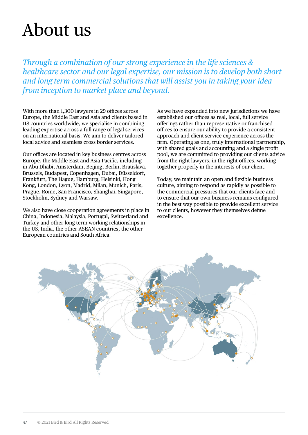#### <span id="page-48-0"></span>About us

*Through a combination of our strong experience in the life sciences & healthcare sector and our legal expertise, our mission is to develop both short and long term commercial solutions that will assist you in taking your idea from inception to market place and beyond.*

With more than 1,300 lawyers in 29 offices across Europe, the Middle East and Asia and clients based in 118 countries worldwide, we specialise in combining leading expertise across a full range of legal services on an international basis. We aim to deliver tailored local advice and seamless cross border services.

Our offices are located in key business centres across Europe, the Middle East and Asia-Pacific, including in Abu Dhabi, Amsterdam, Beijing, Berlin, Bratislava, Brussels, Budapest, Copenhagen, Dubai, Düsseldorf, Frankfurt, The Hague, Hamburg, Helsinki, Hong Kong, London, Lyon, Madrid, Milan, Munich, Paris, Prague, Rome, San Francisco, Shanghai, Singapore, Stockholm, Sydney and Warsaw.

We also have close cooperation agreements in place in China, Indonesia, Malaysia, Portugal, Switzerland and Turkey and other long term working relationships in the US, India, the other ASEAN countries, the other European countries and South Africa.

As we have expanded into new jurisdictions we have established our offices as real, local, full service offerings rather than representative or franchised offices to ensure our ability to provide a consistent approach and client service experience across the firm. Operating as one, truly international partnership, with shared goals and accounting and a single profit pool, we are committed to providing our clients advice from the right lawyers, in the right offices, working together properly in the interests of our client.

Today, we maintain an open and flexible business culture, aiming to respond as rapidly as possible to the commercial pressures that our clients face and to ensure that our own business remains configured in the best way possible to provide excellent service to our clients, however they themselves define excellence.